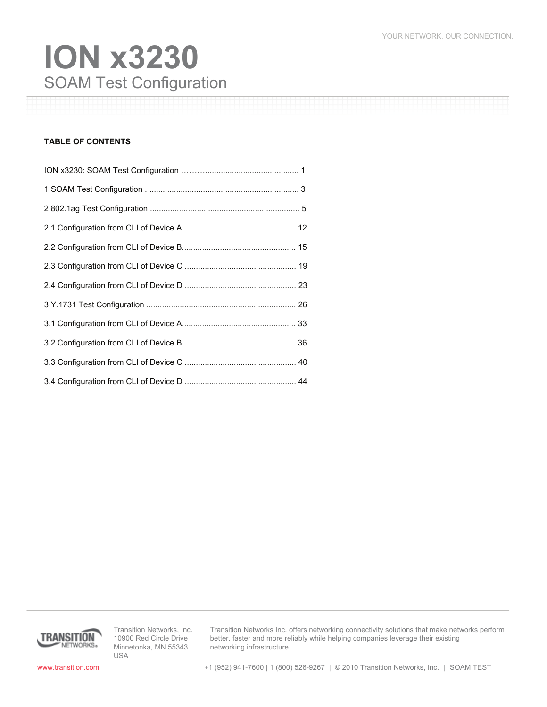# SOAM Test Configuration **ION x3230**

### **TABLE OF CONTENTS**



Transition Networks, Inc. 10900 Red Circle Drive Minnetonka, MN 55343 USA

Transition Networks Inc. offers networking connectivity solutions that make networks perform better, faster and more reliably while helping companies leverage their existing networking infrastructure.

www.transition.com +1 (952) 941-7600 | 1 (800) 526-9267 | © 2010 Transition Networks, Inc. | SOAM TEST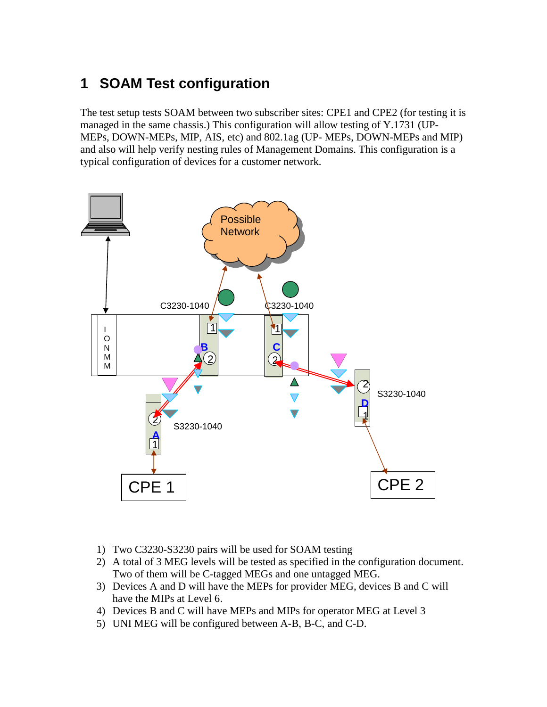# **1 SOAM Test configuration**

The test setup tests SOAM between two subscriber sites: CPE1 and CPE2 (for testing it is managed in the same chassis.) This configuration will allow testing of Y.1731 (UP-MEPs, DOWN-MEPs, MIP, AIS, etc) and 802.1ag (UP- MEPs, DOWN-MEPs and MIP) and also will help verify nesting rules of Management Domains. This configuration is a typical configuration of devices for a customer network.



- 1) Two C3230-S3230 pairs will be used for SOAM testing
- 2) A total of 3 MEG levels will be tested as specified in the configuration document. Two of them will be C-tagged MEGs and one untagged MEG.
- 3) Devices A and D will have the MEPs for provider MEG, devices B and C will have the MIPs at Level 6.
- 4) Devices B and C will have MEPs and MIPs for operator MEG at Level 3
- 5) UNI MEG will be configured between A-B, B-C, and C-D.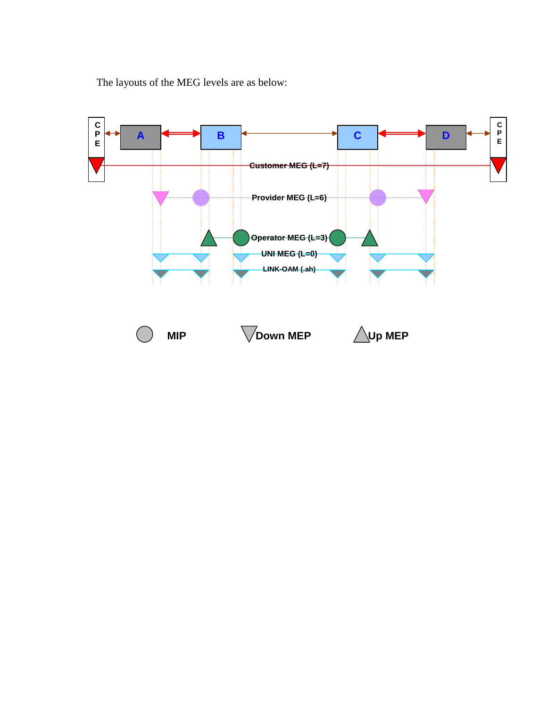The layouts of the MEG levels are as below:

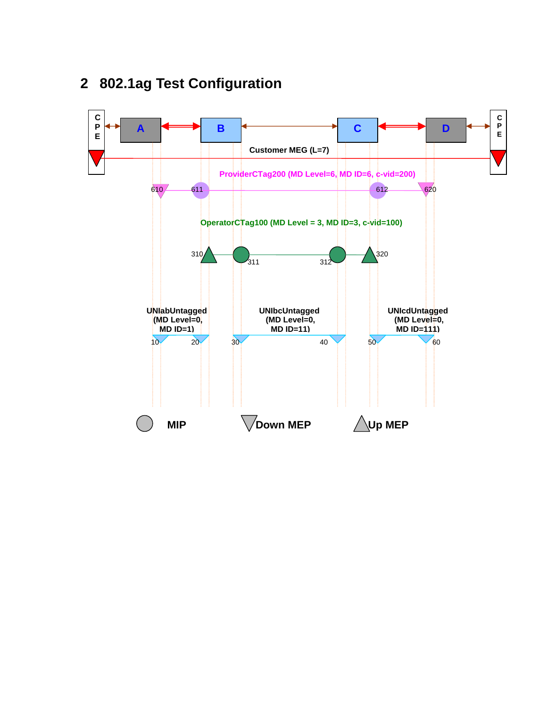

# **2 802.1ag Test Configuration**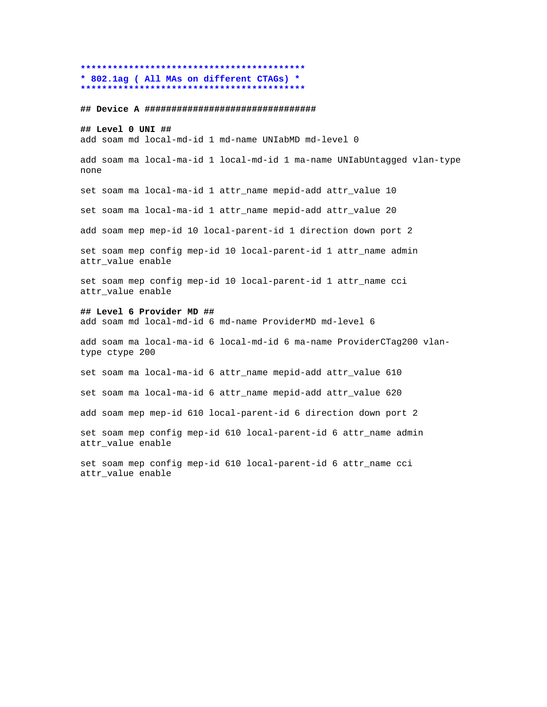### **\*\*\*\*\*\*\*\*\*\*\*\*\*\*\*\*\*\*\*\*\*\*\*\*\*\*\*\*\*\*\*\*\*\*\*\*\*\*\*\*\*\* \* 802.1ag ( All MAs on different CTAGs) \* \*\*\*\*\*\*\*\*\*\*\*\*\*\*\*\*\*\*\*\*\*\*\*\*\*\*\*\*\*\*\*\*\*\*\*\*\*\*\*\*\*\***

### **## Device A ################################**

### **## Level 0 UNI ##**

add soam md local-md-id 1 md-name UNIabMD md-level 0

add soam ma local-ma-id 1 local-md-id 1 ma-name UNIabUntagged vlan-type none

set soam ma local-ma-id 1 attr\_name mepid-add attr\_value 10

set soam ma local-ma-id 1 attr\_name mepid-add attr\_value 20

add soam mep mep-id 10 local-parent-id 1 direction down port 2

set soam mep config mep-id 10 local-parent-id 1 attr\_name admin attr\_value enable

set soam mep config mep-id 10 local-parent-id 1 attr\_name cci attr\_value enable

### **## Level 6 Provider MD ##**

add soam md local-md-id 6 md-name ProviderMD md-level 6

add soam ma local-ma-id 6 local-md-id 6 ma-name ProviderCTag200 vlantype ctype 200

set soam ma local-ma-id 6 attr\_name mepid-add attr\_value 610

set soam ma local-ma-id 6 attr\_name mepid-add attr\_value 620

add soam mep mep-id 610 local-parent-id 6 direction down port 2

set soam mep config mep-id 610 local-parent-id 6 attr\_name admin attr value enable

set soam mep config mep-id 610 local-parent-id 6 attr\_name cci attr\_value enable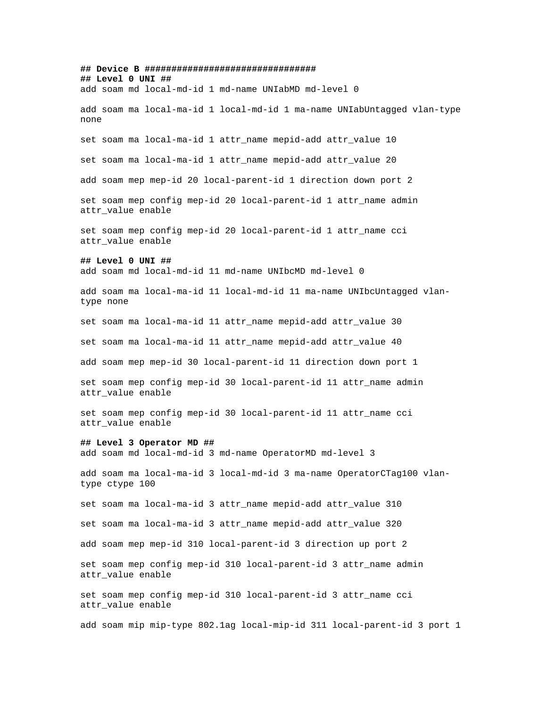**## Device B ################################ ## Level 0 UNI ##** add soam md local-md-id 1 md-name UNIabMD md-level 0 add soam ma local-ma-id 1 local-md-id 1 ma-name UNIabUntagged vlan-type none set soam ma local-ma-id 1 attr\_name mepid-add attr\_value 10 set soam ma local-ma-id 1 attr\_name mepid-add attr\_value 20 add soam mep mep-id 20 local-parent-id 1 direction down port 2 set soam mep config mep-id 20 local-parent-id 1 attr\_name admin attr\_value enable set soam mep config mep-id 20 local-parent-id 1 attr\_name cci attr\_value enable **## Level 0 UNI ##** add soam md local-md-id 11 md-name UNIbcMD md-level 0 add soam ma local-ma-id 11 local-md-id 11 ma-name UNIbcUntagged vlantype none set soam ma local-ma-id 11 attr\_name mepid-add attr\_value 30 set soam ma local-ma-id 11 attr\_name mepid-add attr\_value 40 add soam mep mep-id 30 local-parent-id 11 direction down port 1 set soam mep config mep-id 30 local-parent-id 11 attr\_name admin attr\_value enable set soam mep config mep-id 30 local-parent-id 11 attr\_name cci attr value enable **## Level 3 Operator MD ##** add soam md local-md-id 3 md-name OperatorMD md-level 3 add soam ma local-ma-id 3 local-md-id 3 ma-name OperatorCTag100 vlantype ctype 100 set soam ma local-ma-id 3 attr\_name mepid-add attr\_value 310 set soam ma local-ma-id 3 attr\_name mepid-add attr\_value 320 add soam mep mep-id 310 local-parent-id 3 direction up port 2 set soam mep config mep-id 310 local-parent-id 3 attr\_name admin attr\_value enable set soam mep config mep-id 310 local-parent-id 3 attr\_name cci attr value enable add soam mip mip-type 802.1ag local-mip-id 311 local-parent-id 3 port 1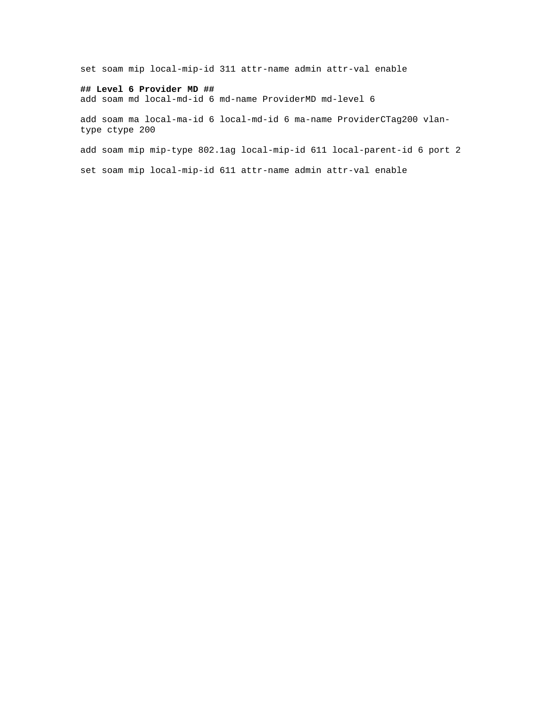set soam mip local-mip-id 311 attr-name admin attr-val enable

### **## Level 6 Provider MD ##**

add soam md local-md-id 6 md-name ProviderMD md-level 6

add soam ma local-ma-id 6 local-md-id 6 ma-name ProviderCTag200 vlantype ctype 200

add soam mip mip-type 802.1ag local-mip-id 611 local-parent-id 6 port 2

set soam mip local-mip-id 611 attr-name admin attr-val enable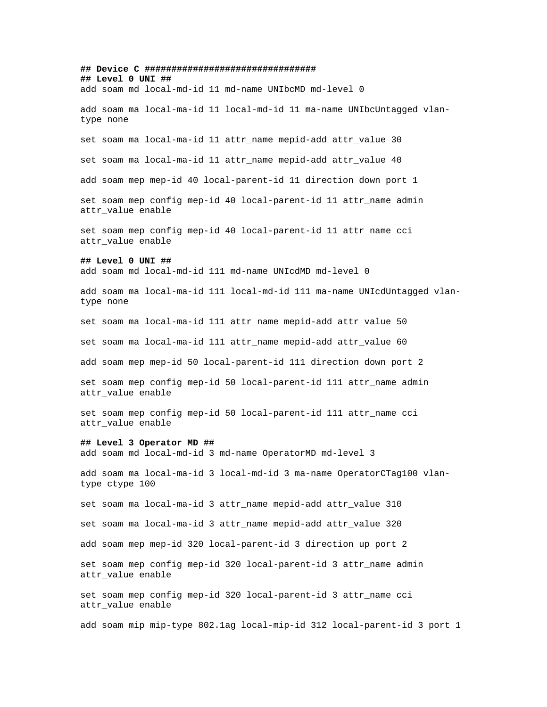**## Device C ################################ ## Level 0 UNI ##** add soam md local-md-id 11 md-name UNIbcMD md-level 0 add soam ma local-ma-id 11 local-md-id 11 ma-name UNIbcUntagged vlantype none set soam ma local-ma-id 11 attr\_name mepid-add attr\_value 30 set soam ma local-ma-id 11 attr name mepid-add attr value 40 add soam mep mep-id 40 local-parent-id 11 direction down port 1 set soam mep config mep-id 40 local-parent-id 11 attr\_name admin attr\_value enable set soam mep config mep-id 40 local-parent-id 11 attr\_name cci attr\_value enable **## Level 0 UNI ##** add soam md local-md-id 111 md-name UNIcdMD md-level 0 add soam ma local-ma-id 111 local-md-id 111 ma-name UNIcdUntagged vlantype none set soam ma local-ma-id 111 attr\_name mepid-add attr\_value 50 set soam ma local-ma-id 111 attr\_name mepid-add attr\_value 60 add soam mep mep-id 50 local-parent-id 111 direction down port 2 set soam mep config mep-id 50 local-parent-id 111 attr\_name admin attr\_value enable set soam mep config mep-id 50 local-parent-id 111 attr\_name cci attr value enable **## Level 3 Operator MD ##** add soam md local-md-id 3 md-name OperatorMD md-level 3 add soam ma local-ma-id 3 local-md-id 3 ma-name OperatorCTag100 vlantype ctype 100 set soam ma local-ma-id 3 attr\_name mepid-add attr\_value 310 set soam ma local-ma-id 3 attr\_name mepid-add attr\_value 320 add soam mep mep-id 320 local-parent-id 3 direction up port 2 set soam mep config mep-id 320 local-parent-id 3 attr\_name admin attr\_value enable set soam mep config mep-id 320 local-parent-id 3 attr\_name cci attr value enable

add soam mip mip-type 802.1ag local-mip-id 312 local-parent-id 3 port 1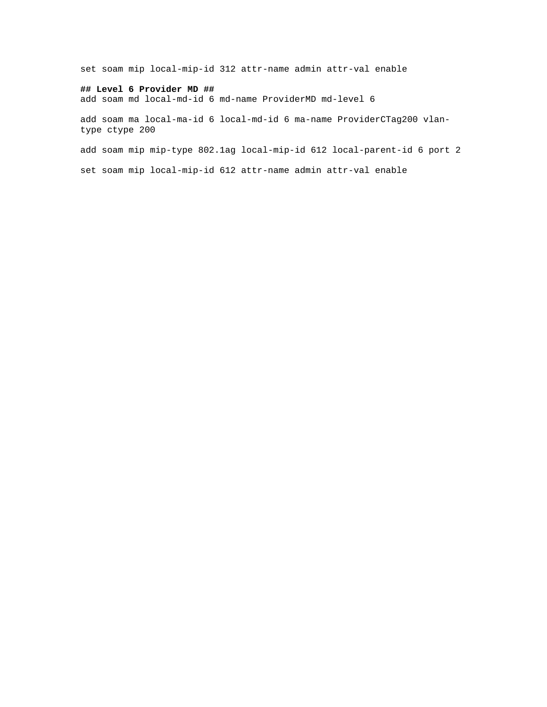set soam mip local-mip-id 312 attr-name admin attr-val enable

### **## Level 6 Provider MD ##**

add soam md local-md-id 6 md-name ProviderMD md-level 6

add soam ma local-ma-id 6 local-md-id 6 ma-name ProviderCTag200 vlantype ctype 200

add soam mip mip-type 802.1ag local-mip-id 612 local-parent-id 6 port 2

set soam mip local-mip-id 612 attr-name admin attr-val enable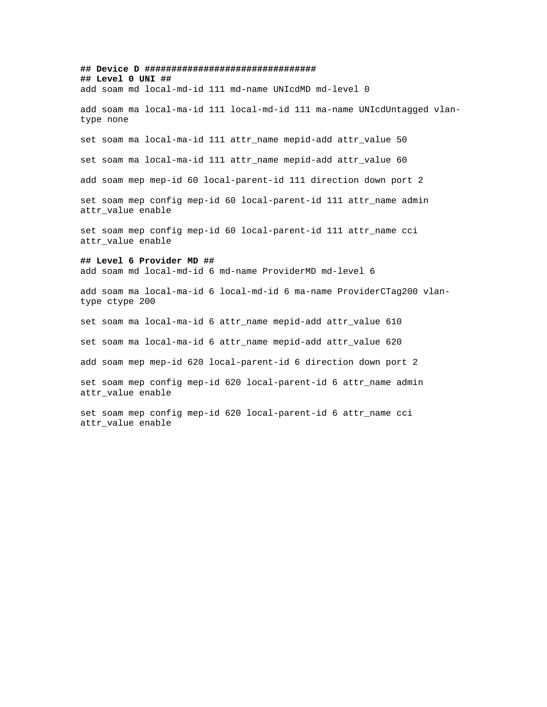**## Device D ################################ ## Level 0 UNI ##**

add soam md local-md-id 111 md-name UNIcdMD md-level 0

add soam ma local-ma-id 111 local-md-id 111 ma-name UNIcdUntagged vlantype none

set soam ma local-ma-id 111 attr\_name mepid-add attr\_value 50

set soam ma local-ma-id 111 attr\_name mepid-add attr\_value 60

add soam mep mep-id 60 local-parent-id 111 direction down port 2

set soam mep config mep-id 60 local-parent-id 111 attr\_name admin attr\_value enable

set soam mep config mep-id 60 local-parent-id 111 attr\_name cci attr\_value enable

#### **## Level 6 Provider MD ##**

add soam md local-md-id 6 md-name ProviderMD md-level 6

add soam ma local-ma-id 6 local-md-id 6 ma-name ProviderCTag200 vlantype ctype 200

set soam ma local-ma-id 6 attr\_name mepid-add attr\_value 610

set soam ma local-ma-id 6 attr\_name mepid-add attr\_value 620

add soam mep mep-id 620 local-parent-id 6 direction down port 2

set soam mep config mep-id 620 local-parent-id 6 attr\_name admin attr\_value enable

set soam mep config mep-id 620 local-parent-id 6 attr\_name cci attr\_value enable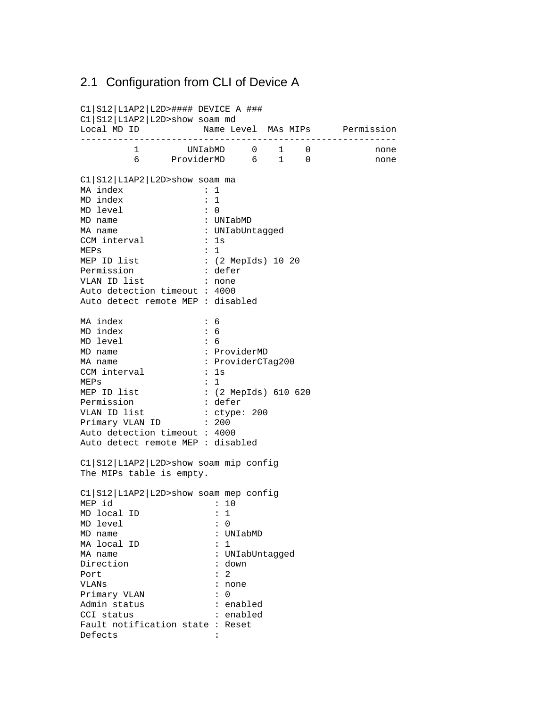### 2.1 Configuration from CLI of Device A

C1|S12|L1AP2|L2D>#### DEVICE A ### C1|S12|L1AP2|L2D>show soam md Local MD ID **Name Level MAs MIPs** Permission ----------------------------------------------------------- 1 UNIabMD 0 1 0 none 6 ProviderMD 6 1 0 none C1|S12|L1AP2|L2D>show soam ma MA index : 1 MD index : 1 MD level : 0<br>MD name : UNIabMD MD name : UNIabMD MA name  $\qquad \qquad : \text{UNIabUntagged}$ CCM interval : 1s MEPs
 : 1<br>
MEP
ID
list
 : (2 : (2 MepIds) 10 20 Permission : defer VLAN ID list : none Auto detection timeout : 4000 Auto detect remote MEP : disabled MA index : 6 MD index : 6 MD level : 6 MD name : ProviderMD<br>MA name : ProviderCT : ProviderCTag200 MA name  $\cdot$  Pro<br>CCM interval : 1s MEPs : 1<br>
MEP ID list : : : : : (2 MepIds) 610 620 Permission : defer<br>VLAN ID list : ctype VLAN ID list : ctype: 200 Primary VLAN ID : 200 Auto detection timeout : 4000 Auto detect remote MEP : disabled C1|S12|L1AP2|L2D>show soam mip config The MIPs table is empty. C1|S12|L1AP2|L2D>show soam mep config  $MEP$  id : 10 MD local ID : 1 MD level : 0 MD name : UNIabMD MA local ID : 1 MA name : UNIabUntagged<br>Direction : down : down Direction : do<br>Port : 2 Port VLANs : none Primary VLAN : 0 Admin status : enabled example of the contract of the contract of the contract of the contract of the contract of the contract of the<br>  $\mathcal{C}$  contract of the contract of the contract of the contract of the contract of the contract of the contr Fault notification state : Reset Defects :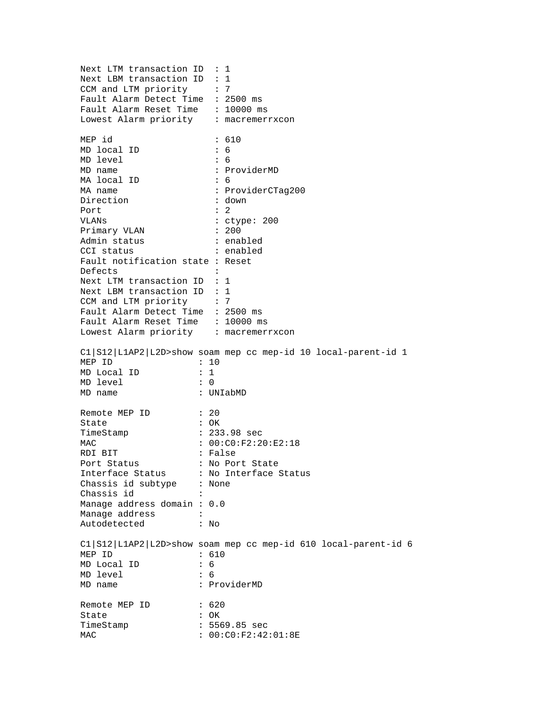Next LTM transaction ID : 1 Next LBM transaction ID : 1 CCM and LTM priority : 7 Fault Alarm Detect Time : 2500 ms Fault Alarm Reset Time : 10000 ms Lowest Alarm priority : macremerrxcon MEP id : 610 MD local ID : 6 MD level : 6 MD name : ProviderMD MA local ID : 6 MA name : ProviderCTag200 Direction : down<br>Port : 2 Port VLANs : ctype: 200 Primary VLAN : 200 Admin status : enabled CCI status : enabled Fault notification state : Reset Defects : Next LTM transaction ID : 1 Next LBM transaction ID : 1 CCM and LTM priority : 7 Fault Alarm Detect Time : 2500 ms Fault Alarm Reset Time : 10000 ms Lowest Alarm priority : macremerrxcon C1|S12|L1AP2|L2D>show soam mep cc mep-id 10 local-parent-id 1 MEP ID : 10 MD Local ID : 1 MD level : 0 MD name : UNIabMD Remote MEP ID : 20<br>State : OK State TimeStamp : 233.98 sec MAC : 00:C0:F2:20:E2:18 RDI BIT : False Port Status : No Port State Interface Status : No Interface Status Chassis id subtype : None Chassis id Manage address domain : 0.0 Manage address : Autodetected : No C1|S12|L1AP2|L2D>show soam mep cc mep-id 610 local-parent-id 6 MEP ID : 610 MD Local ID : 6 MD level : 6 MD name : ProviderMD Remote MEP ID : 620 State : OK TimeStamp : 5569.85 sec MAC : 00:C0:F2:42:01:8E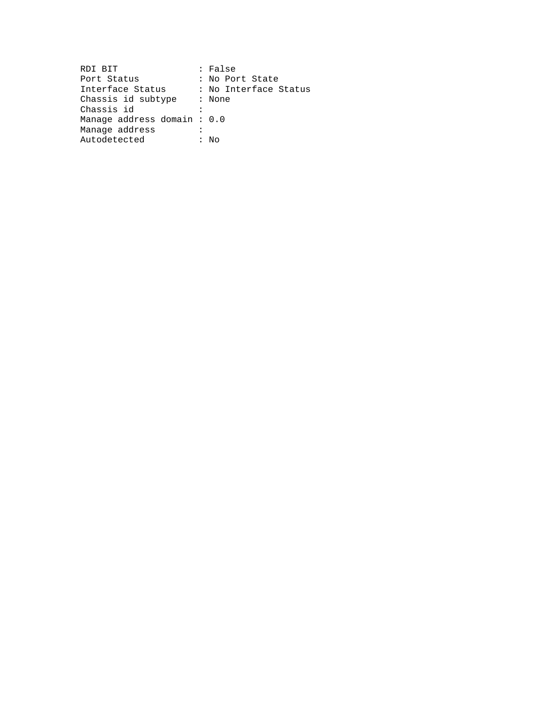| RDI BIT                     | : False               |
|-----------------------------|-----------------------|
| Port Status                 | : No Port State       |
| Interface Status            | : No Interface Status |
| Chassis id subtype : None   |                       |
| Chassis id                  |                       |
| Manage address domain : 0.0 |                       |
| Manaqe address              |                       |
| Autodetected                | : No                  |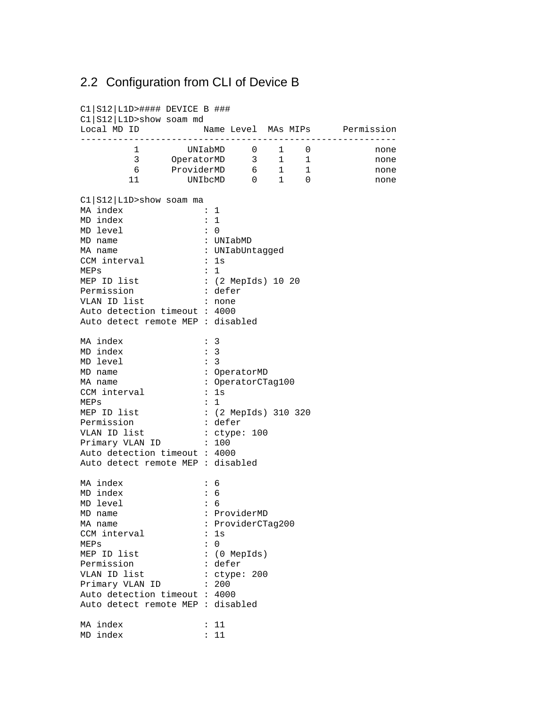### 2.2 Configuration from CLI of Device B

C1|S12|L1D>#### DEVICE B ### C1|S12|L1D>show soam md Local MD ID Name Level MAs MIPs Permission ----------------------------------------------------------- 1 UNIabMD 0 1 0 none 3 OperatorMD 3 1 1 none 6 ProviderMD 6 1 1 none 11 UNIbcMD 0 1 0 none C1|S12|L1D>show soam ma MA index : 1<br>MD index : 1 MD index : 1<br>MD level : 0 MD level : 0<br>MD name : UNIabMD MD name : UNIabMD MA name  $\qquad \qquad : \text{UNIabUntagged}$ CCM interval : 1s MEPs : 1 MEP ID list : (2 MepIds) 10 20<br>Permission : defer Permission VLAN ID list : none Auto detection timeout : 4000 Auto detect remote MEP : disabled MA index : 3 MD index : 3 MD level : 3 MD name : OperatorMD : OperatorCTag100 CCM interval : 1s MEPs : 1 MEP ID list : (2 MepIds) 310 320 Permission : defer<br>VLAN ID list : ctype: 100 VLAN ID list Primary VLAN ID : 100 Auto detection timeout : 4000 Auto detect remote MEP : disabled MA index : 6 MD index : 6<br>MD level : 6 MD level : 6 MD name : ProviderMD MA name : ProviderCTag200 CCM interval : 1s MEPs : 0 MEP ID list : (0 MepIds) Permission : defer VLAN ID list  $\qquad$  : ctype: 200 Primary VLAN ID : 200 Auto detection timeout : 4000 Auto detect remote MEP : disabled MA index : 11 MD index : 11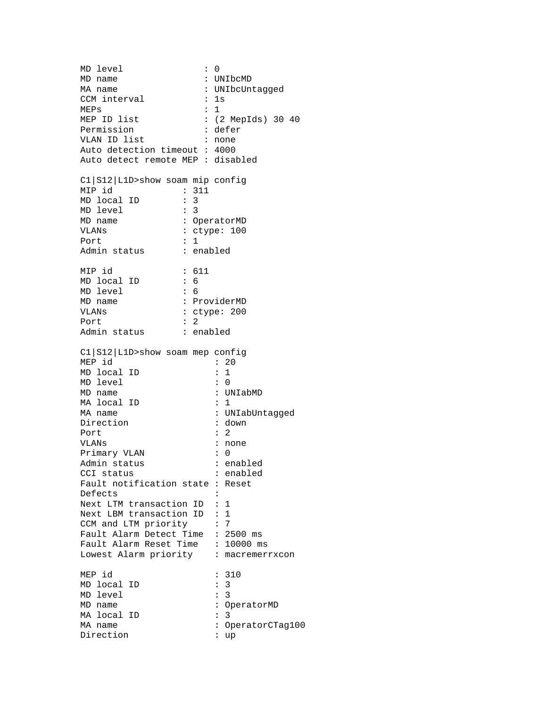MD level MD level : 0<br>MD name : UNIbcMD MA name : UNIbcUntagged CCM interval : 1s MEPs
 : 1<br>
MEP
ID
list
 : 2 : (2 MepIds) 30 40 Permission : defer VLAN ID list : none Auto detection timeout : 4000 Auto detect remote MEP : disabled C1|S12|L1D>show soam mip config MIP id : 311<br>MD local ID : 3<br>MD level : 3 MD local ID : 3 MD level MD name : OperatorMD VLANs : ctype: 100 Port : 1 Admin status : enabled MIP id : 611 MD local ID : 6 MD level : 6<br>MD name : P: MD name : ProviderMD<br>VLANs : ProviderMD<br>Ctype: 200 : ctype: 200 Port : 2 Admin status : enabled C1|S12|L1D>show soam mep config MEP  $id$  : 20 MD local ID : 1 MD level : 0 MD name : UNIabMD MA local ID : 1 MA name : UNIabUntagged<br>Direction : down : down Direction : do<br>Port : 2 Port : VLANs : none<br>Primary VLAN : 0 Primary VLAN Admin status : enabled CCI status : enabled Fault notification state : Reset Defects : Next LTM transaction ID : 1 Next LBM transaction ID : 1 CCM and LTM priority : 7 Fault Alarm Detect Time : 2500 ms Fault Alarm Reset Time : 10000 ms Lowest Alarm priority : macremerrxcon MEP id : 310 MD local ID : 3<br>MD level : 3 MD level MD name : OperatorMD MA local ID : 3 MA name : OperatorCTag100<br>Direction : up Direction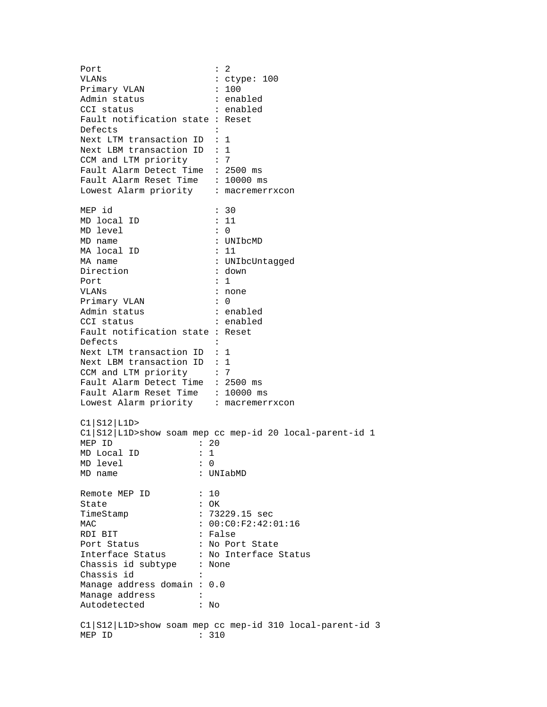Port : 2 VLANs : ctype: 100 Primary VLAN : 100 Admin status : enabled CCI status : enabled Fault notification state : Reset Defects : Next LTM transaction ID : 1 Next LBM transaction ID : 1 CCM and LTM priority : 7 Fault Alarm Detect Time : 2500 ms Fault Alarm Reset Time : 10000 ms Lowest Alarm priority : macremerrxcon MEP id : 30 MD local ID MD level : 0 MD name : UNIbcMD MA local ID : 11 MA name : UNIbcUntagged Direction : down Port : 1 VLANs : none Primary VLAN : 0 Admin status : enabled CCI status : enabled Fault notification state : Reset Defects : Next LTM transaction ID : 1 Next LBM transaction ID : 1 CCM and LTM priority : 7 Fault Alarm Detect Time : 2500 ms Fault Alarm Reset Time : 10000 ms Lowest Alarm priority : macremerrxcon C1|S12|L1D> C1|S12|L1D>show soam mep cc mep-id 20 local-parent-id 1 MEP ID : 20 MD Local ID : 1 MD level : 0 MD name : UNIabMD Remote MEP ID : 10 State : OK TimeStamp : 73229.15 sec MAC : 00:C0:F2:42:01:16 RDI BIT : False Port Status : No Port State Interface Status : No Interface Status Chassis id subtype : None Chassis id : Manage address domain : 0.0 Manage address : Autodetected : No C1|S12|L1D>show soam mep cc mep-id 310 local-parent-id 3 MEP ID : 310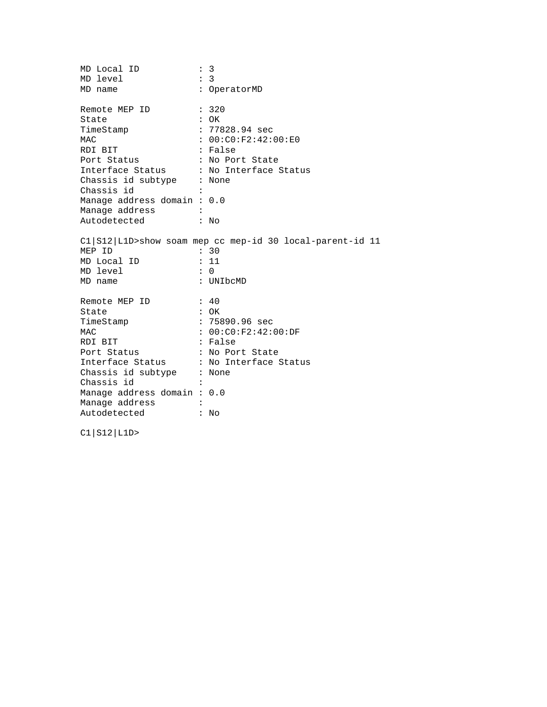| MD Local ID                            | $\ddot{\phantom{a}}$ | 3                                                            |
|----------------------------------------|----------------------|--------------------------------------------------------------|
| MD level                               |                      | : 3                                                          |
| MD name                                |                      | : OperatorMD                                                 |
| Remote MEP ID                          |                      | : 320                                                        |
| State                                  |                      | $:$ OK                                                       |
| TimeStamp                              |                      | : 77828.94 sec                                               |
| MAC                                    |                      | : 00:CO:F2:42:00:E0                                          |
| RDI BIT                                |                      | : False                                                      |
| Port Status                            |                      | : No Port State                                              |
| Interface Status : No Interface Status |                      |                                                              |
| Chassis id subtype : None              |                      |                                                              |
| Chassis id                             |                      |                                                              |
| Manage address domain: 0.0             |                      |                                                              |
| Manage address                         |                      |                                                              |
| Autodetected                           |                      | : N <sub>O</sub>                                             |
|                                        |                      | Cl   S12   L1D>show soam mep cc mep-id 30 local-parent-id 11 |
| MEP ID                                 |                      | : 30                                                         |
| MD Local ID                            |                      | : 11                                                         |
| MD level                               |                      | $\colon$ 0                                                   |
| MD name                                |                      | : UNIbcMD                                                    |
| Remote MEP ID                          |                      | : 40                                                         |
| State                                  |                      | $:$ OK                                                       |
| TimeStamp                              |                      | $: 75890.96 \text{ sec}$                                     |
| MAC                                    |                      | : 00:C0:F2:42:00:F                                           |
| RDI BIT                                |                      | : False                                                      |
| Port Status                            |                      | : No Port State                                              |
| Interface Status : No Interface Status |                      |                                                              |
| Chassis id subtype : None              |                      |                                                              |
| Chassis id                             |                      |                                                              |
| Manage address domain: 0.0             |                      |                                                              |
| Manage address                         |                      |                                                              |
| Autodetected                           |                      | No                                                           |
|                                        |                      |                                                              |

C1|S12|L1D>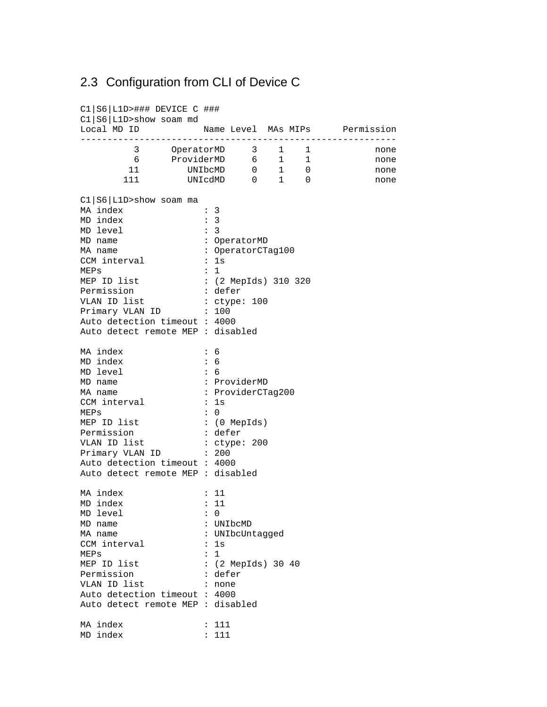## 2.3 Configuration from CLI of Device C

C1|S6|L1D>### DEVICE C ### C1|S6|L1D>show soam md Local MD ID Name Level MAs MIPs Permission ----------------------------------------------------------- 3 OperatorMD 3 1 1 none 6 ProviderMD 6 1 1 none 11 UNIbcMD 0 1 0 none 111 UNIcdMD 0 1 0 none C1|S6|L1D>show soam ma MA index : 3<br>MD index : 3 MD index : 3<br>MD level : 3 MD level MD name : OperatorMD : OperatorCTag100 CCM interval : 1s MEPs : 1 MEP ID list : (2 MepIds) 310 320<br>Permission : defer Permission : defer<br>VLAN ID list : ctype: 100 VLAN ID list  $\qquad \qquad :$  ctype: 100 Primary VLAN ID : 100 Auto detection timeout : 4000 Auto detect remote MEP : disabled MA index : 6 MD index : 6 MD level : 6 MD name : ProviderMD MA name : ProviderCTag200 CCM interval : 1s MEPs : 0 MEP ID list : (0 MepIds) Permission : defer VLAN ID list  $\qquad$  : ctype: 200 Primary VLAN ID : 200 Auto detection timeout : 4000 Auto detect remote MEP : disabled MA index : 11<br>MD index : 11 MD index MD level : 0<br>MD name : UNIbcMD MD name<br>MA name : UNIbcUntagged CCM interval : 1s MEPs
 : 1<br>
MEP
ID
list
 : () : (2 MepIds) 30 40<br>: defer Permission VLAN ID list : none Auto detection timeout : 4000 Auto detect remote MEP : disabled MA index : 111 MD index : 111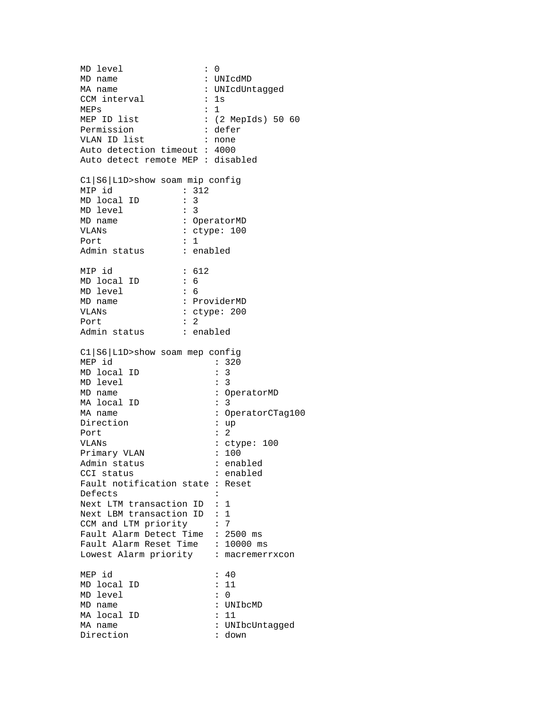MD level MD level : 0<br>MD name : UNIcdMD MA name : UNIcdUntagged CCM interval : 1s MEPs : 1 MEP ID list : (2 MepIds) 50 60 Permission : defer VLAN ID list : none Auto detection timeout : 4000 Auto detect remote MEP : disabled C1|S6|L1D>show soam mip config MIP id : 312<br>MD local ID : 3 MD local ID : 3<br>MD level : 3 MD level MD name : OperatorMD VLANs : ctype: 100 Port : 1 Admin status : enabled MIP id : 612 MD local ID : 6 MD level : 6<br>MD name : P: MD name : ProviderMD<br>VLANs : ProviderMD<br>Ctype: 200 : ctype: 200 Port : 2 Admin status : enabled C1|S6|L1D>show soam mep config MEP id : 320 MD local ID : 3 MD level : 3 MD name : OperatorMD MA local ID : 3 MA name : OperatorCTag100<br>Direction : up Direction : up<br>Port : 2 Port : VLANs : ctype: 100<br>Primary VLAN : 100<br>: 100 Primary VLAN Admin status : enabled cci status : enabled : enabled Fault notification state : Reset Defects : Next LTM transaction ID : 1 Next LBM transaction ID : 1 CCM and LTM priority : 7 Fault Alarm Detect Time : 2500 ms Fault Alarm Reset Time : 10000 ms Lowest Alarm priority : macremerrxcon MEP id : 40 MD local ID MD level : 0 MD name : UNIbcMD MA local ID : 11 MA name  $\qquad \qquad : \text{UNIbcUntagged}$ Direction : down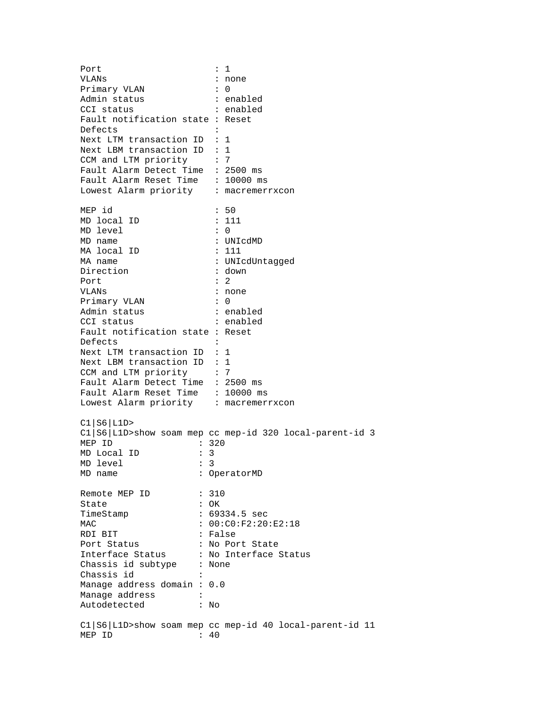Port : 1<br>VLANs : 1<br>i no : none Primary VLAN : 0 Admin status : enabled CCI status : enabled Fault notification state : Reset Defects : Next LTM transaction ID : 1 Next LBM transaction ID : 1 CCM and LTM priority : 7 Fault Alarm Detect Time : 2500 ms Fault Alarm Reset Time : 10000 ms Lowest Alarm priority : macremerrxcon MEP id : 50 MD local ID : 111 MD level : 0 MD name : UNIcdMD MA local ID : 111 MA name : UNIcdUntagged Direction : down Port : 2 VLANs : none Primary VLAN : 0 Admin status : enabled CCI status : enabled Fault notification state : Reset Defects : Next LTM transaction ID : 1 Next LBM transaction ID : 1 CCM and LTM priority : 7 Fault Alarm Detect Time : 2500 ms Fault Alarm Reset Time : 10000 ms Lowest Alarm priority : macremerrxcon C1|S6|L1D> C1|S6|L1D>show soam mep cc mep-id 320 local-parent-id 3 MEP ID : 320 MD Local ID : 3<br>MD level : 3 MD level MD name : OperatorMD Remote MEP ID : 310 State : OK TimeStamp : 69334.5 sec MAC : 00:C0:F2:20:E2:18 RDI BIT : False Port Status : No Port State Interface Status : No Interface Status Chassis id subtype : None Chassis id : Manage address domain : 0.0 Manage address : Autodetected : No C1|S6|L1D>show soam mep cc mep-id 40 local-parent-id 11 MEP ID : 40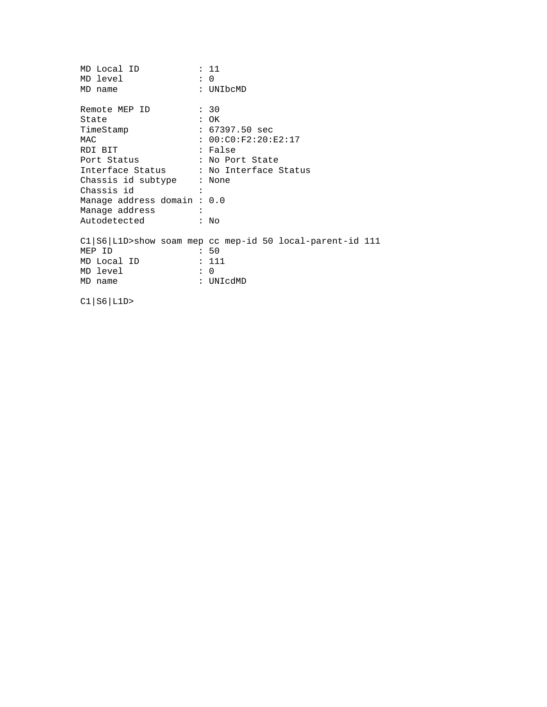| MD Local ID                            | : 11                                                     |
|----------------------------------------|----------------------------------------------------------|
| MD level                               | : 0                                                      |
| MD name                                | : UNIbcMD                                                |
| Remote MEP ID                          | : 30                                                     |
| State                                  | $:$ OK                                                   |
| TimeStamp                              | : 67397.50 sec                                           |
| MAC                                    | : 00:C0:F2:20:F2:17                                      |
| RDI BIT                                | : False                                                  |
| Port Status                            | : No Port State                                          |
| Interface Status : No Interface Status |                                                          |
| Chassis id subtype : None              |                                                          |
| Chassis id                             |                                                          |
| Manage address domain: 0.0             |                                                          |
| Manage address                         |                                                          |
| Autodetected                           | $:$ No                                                   |
|                                        | C1 S6 L1D>show soam mep cc mep-id 50 local-parent-id 111 |
| MEP ID                                 | : 50                                                     |
| MD Local ID                            | : 111                                                    |
| MD level                               | $\colon 0$                                               |
| MD name                                | : UNIcdMD                                                |
|                                        |                                                          |

C1|S6|L1D>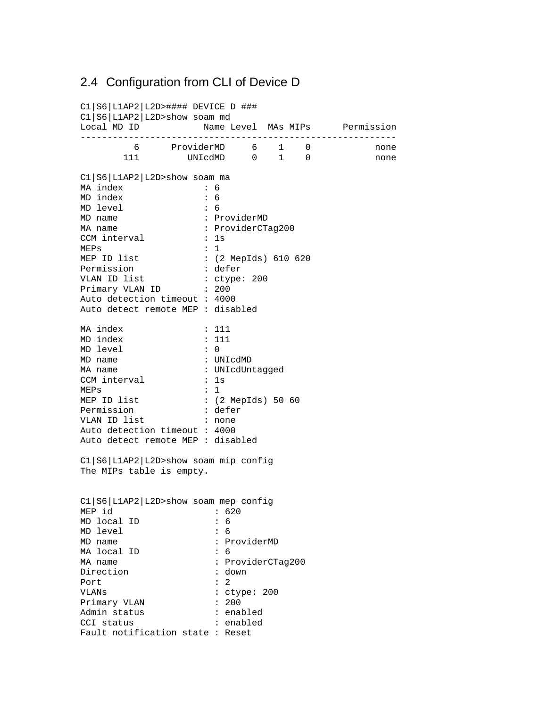### 2.4 Configuration from CLI of Device D

C1|S6|L1AP2|L2D>#### DEVICE D ### C1|S6|L1AP2|L2D>show soam md Local MD ID **Name Level MAs MIPs** Permission ----------------------------------------------------------- 6 ProviderMD 6 1 0 none 111 UNIcdMD 0 1 0 none C1|S6|L1AP2|L2D>show soam ma MA index : 6 MD index : 6 MD level : 6 MD name  $\qquad \qquad : \text{ProviderMD}$ <br>MA name  $\qquad \qquad : \text{ProviderCT}$ : ProviderCTag200 CCM interval : 1s  $MEPs$  : 1 MEP ID list : (2 MepIds) 610 620 Permission : defer VLAN ID list  $\qquad$  : ctype: 200 Primary VLAN ID : 200 Auto detection timeout : 4000 Auto detect remote MEP : disabled MA index : 111 MD index : 111 MD level : 0 MD name : UNIcdMD<br>MA name : UNIcdUni : UNIcdUntagged CCM interval : 1s<br>
MEPs : 1  $MEPs$  : 1 MEP ID list : (2 MepIds) 50 60 Permission : defer VLAN ID list : none Auto detection timeout : 4000 Auto detect remote MEP : disabled C1|S6|L1AP2|L2D>show soam mip config The MIPs table is empty. C1|S6|L1AP2|L2D>show soam mep config MEP id : 620 MD local ID : 6<br>MD level : 6 MD level MD name : ProviderMD MA local ID : 6 MA name : ProviderCTag200 Direction : down Port : 2 VLANs : ctype: 200<br>Primary VLAN : 200 Primary VLAN Admin status : enabled CCI status : enabled Fault notification state : Reset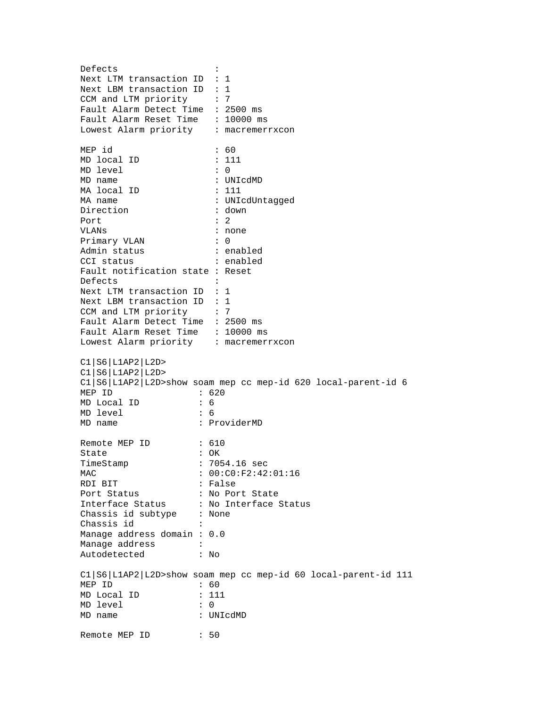Defects : Next LTM transaction ID : 1 Next LBM transaction ID : 1 CCM and LTM priority : 7 Fault Alarm Detect Time : 2500 ms Fault Alarm Reset Time : 10000 ms Lowest Alarm priority : macremerrxcon MEP id : 60 MD local ID : 111 MD level : 0<br>MD name : UI : UNIcdMD MA local ID : 111 MA name  $\begin{array}{ccc} \texttt{MA} & \texttt{name} \\ \texttt{Direction} & \texttt{C} \\ \end{array}$  : down Direction : do<br>Port : 2 Port VLANs : none Primary VLAN : 0 Admin status : enabled CCI status : enabled Fault notification state : Reset Defects : Next LTM transaction ID : 1 Next LBM transaction ID : 1 CCM and LTM priority : 7 Fault Alarm Detect Time : 2500 ms Fault Alarm Reset Time : 10000 ms Lowest Alarm priority : macremerrxcon C1|S6|L1AP2|L2D> C1|S6|L1AP2|L2D> C1|S6|L1AP2|L2D>show soam mep cc mep-id 620 local-parent-id 6 MEP ID : 620 MD Local ID : 6<br>MD level : 6 MD level MD name : ProviderMD Remote MEP ID : 610 State : OK TimeStamp : 7054.16 sec MAC : 00:C0:F2:42:01:16 RDI BIT : False Port Status : No Port State Interface Status : No Interface Status Chassis id subtype : None Chassis id : Manage address domain : 0.0 Manage address :<br>Autodetected : No Autodetected C1|S6|L1AP2|L2D>show soam mep cc mep-id 60 local-parent-id 111 MEP ID  $\begin{array}{ccc} \text{MEP} & \text{ID} & \text{S0} \\ \text{MD Local ID} & \text{S.} & \text{I.} \\ \end{array}$ MD Local ID MD level : 0 MD name : UNIcdMD Remote MEP ID : 50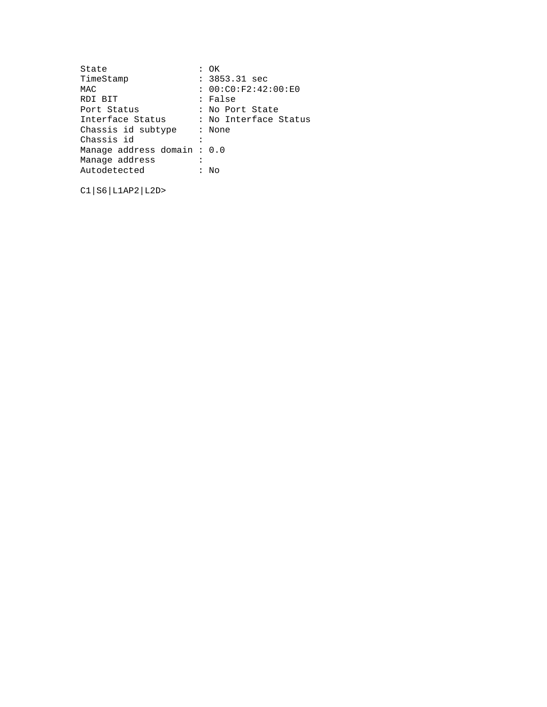| : OK                        |
|-----------------------------|
| $: 3853.31$ sec             |
| : 00:C0:F2:42:00:E0         |
| : False                     |
| : No Port State             |
| : No Interface Status       |
| : None                      |
|                             |
| Manage address domain : 0.0 |
|                             |
| Nο                          |
|                             |

C1|S6|L1AP2|L2D>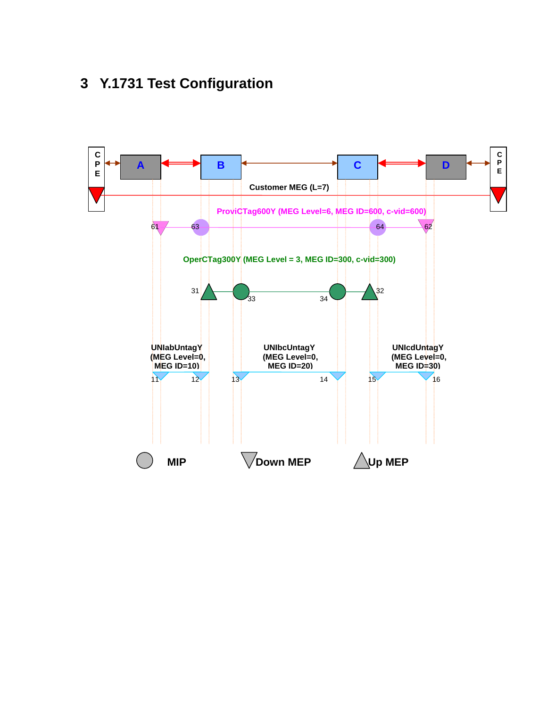# **3 Y.1731 Test Configuration**

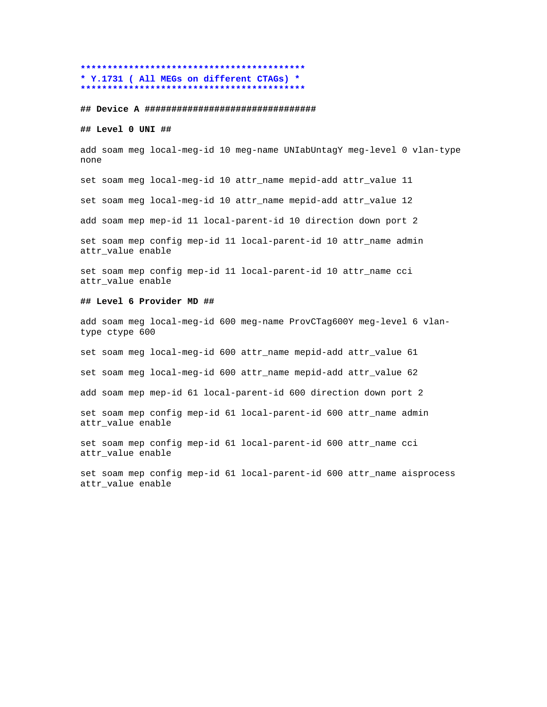### **\*\*\*\*\*\*\*\*\*\*\*\*\*\*\*\*\*\*\*\*\*\*\*\*\*\*\*\*\*\*\*\*\*\*\*\*\*\*\*\*\*\* \* Y.1731 ( All MEGs on different CTAGs) \* \*\*\*\*\*\*\*\*\*\*\*\*\*\*\*\*\*\*\*\*\*\*\*\*\*\*\*\*\*\*\*\*\*\*\*\*\*\*\*\*\*\***

#### **## Device A ################################**

### **## Level 0 UNI ##**

add soam meg local-meg-id 10 meg-name UNIabUntagY meg-level 0 vlan-type none

set soam meg local-meg-id 10 attr\_name mepid-add attr\_value 11

set soam meg local-meg-id 10 attr\_name mepid-add attr\_value 12

add soam mep mep-id 11 local-parent-id 10 direction down port 2

set soam mep config mep-id 11 local-parent-id 10 attr\_name admin attr\_value enable

set soam mep config mep-id 11 local-parent-id 10 attr\_name cci attr value enable

#### **## Level 6 Provider MD ##**

add soam meg local-meg-id 600 meg-name ProvCTag600Y meg-level 6 vlantype ctype 600

set soam meg local-meg-id 600 attr\_name mepid-add attr\_value 61

set soam meg local-meg-id 600 attr\_name mepid-add attr\_value 62

add soam mep mep-id 61 local-parent-id 600 direction down port 2

set soam mep config mep-id 61 local-parent-id 600 attr\_name admin attr\_value enable

set soam mep config mep-id 61 local-parent-id 600 attr name cci attr value enable

set soam mep config mep-id 61 local-parent-id 600 attr\_name aisprocess attr\_value enable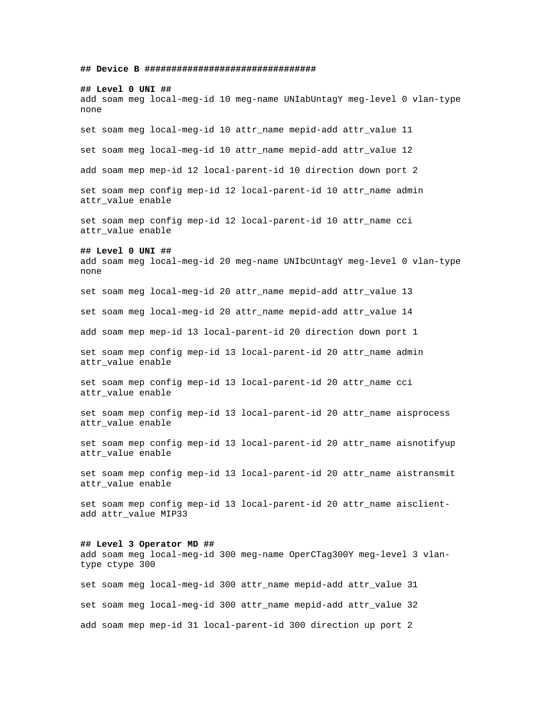**## Device B ################################**

### **## Level 0 UNI ##**

add soam meg local-meg-id 10 meg-name UNIabUntagY meg-level 0 vlan-type none

set soam meg local-meg-id 10 attr\_name mepid-add attr\_value 11

set soam meg local-meg-id 10 attr\_name mepid-add attr\_value 12

add soam mep mep-id 12 local-parent-id 10 direction down port 2

set soam mep config mep-id 12 local-parent-id 10 attr\_name admin attr\_value enable

set soam mep config mep-id 12 local-parent-id 10 attr\_name cci attr value enable

### **## Level 0 UNI ##**

add soam meg local-meg-id 20 meg-name UNIbcUntagY meg-level 0 vlan-type none

set soam meg local-meg-id 20 attr\_name mepid-add attr\_value 13

set soam meg local-meg-id 20 attr\_name mepid-add attr\_value 14

add soam mep mep-id 13 local-parent-id 20 direction down port 1

set soam mep config mep-id 13 local-parent-id 20 attr\_name admin attr\_value enable

set soam mep config mep-id 13 local-parent-id 20 attr\_name cci attr\_value enable

set soam mep config mep-id 13 local-parent-id 20 attr\_name aisprocess attr\_value enable

set soam mep config mep-id 13 local-parent-id 20 attr name aisnotifyup attr value enable

set soam mep config mep-id 13 local-parent-id 20 attr\_name aistransmit attr\_value enable

set soam mep config mep-id 13 local-parent-id 20 attr\_name aisclientadd attr\_value MIP33

### **## Level 3 Operator MD ##**

add soam meg local-meg-id 300 meg-name OperCTag300Y meg-level 3 vlantype ctype 300

set soam meg local-meg-id 300 attr\_name mepid-add attr\_value 31 set soam meg local-meg-id 300 attr\_name mepid-add attr\_value 32 add soam mep mep-id 31 local-parent-id 300 direction up port 2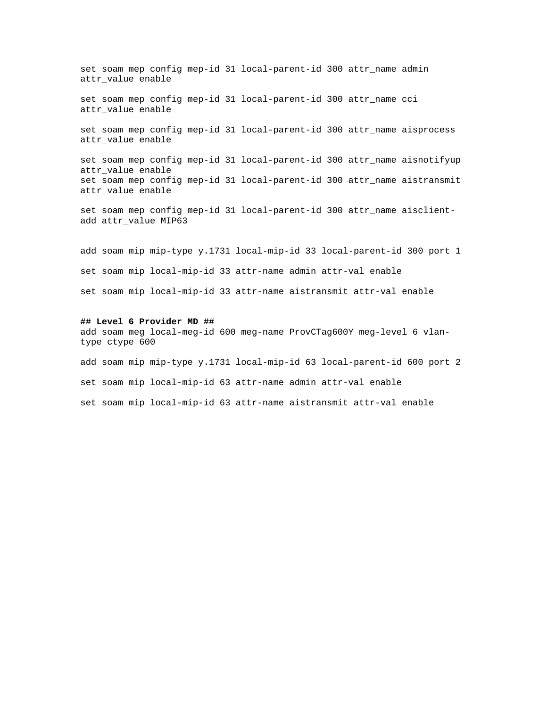set soam mep config mep-id 31 local-parent-id 300 attr\_name admin attr\_value enable

set soam mep config mep-id 31 local-parent-id 300 attr\_name cci attr value enable

set soam mep config mep-id 31 local-parent-id 300 attr\_name aisprocess attr value enable

set soam mep config mep-id 31 local-parent-id 300 attr\_name aisnotifyup attr value enable set soam mep config mep-id 31 local-parent-id 300 attr\_name aistransmit attr\_value enable

set soam mep config mep-id 31 local-parent-id 300 attr\_name aisclientadd attr\_value MIP63

add soam mip mip-type y.1731 local-mip-id 33 local-parent-id 300 port 1 set soam mip local-mip-id 33 attr-name admin attr-val enable set soam mip local-mip-id 33 attr-name aistransmit attr-val enable

#### **## Level 6 Provider MD ##**

add soam meg local-meg-id 600 meg-name ProvCTag600Y meg-level 6 vlantype ctype 600 add soam mip mip-type y.1731 local-mip-id 63 local-parent-id 600 port 2 set soam mip local-mip-id 63 attr-name admin attr-val enable set soam mip local-mip-id 63 attr-name aistransmit attr-val enable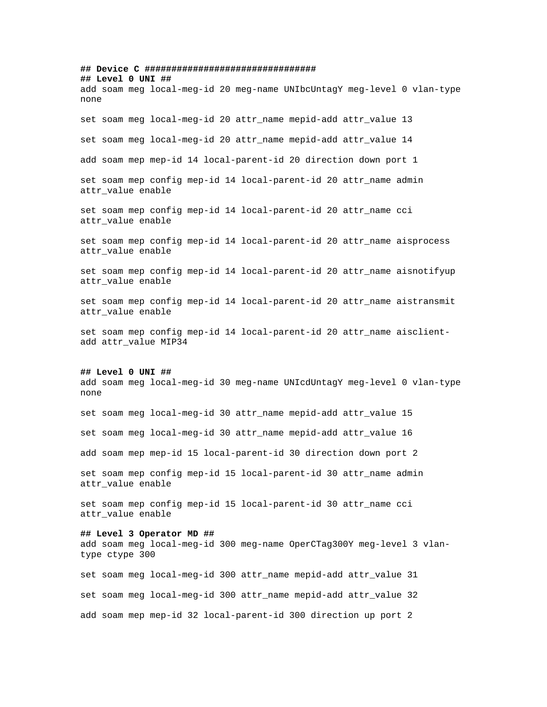**## Device C ################################ ## Level 0 UNI ##** add soam meg local-meg-id 20 meg-name UNIbcUntagY meg-level 0 vlan-type none set soam meg local-meg-id 20 attr\_name mepid-add attr\_value 13 set soam meg local-meg-id 20 attr\_name mepid-add attr\_value 14 add soam mep mep-id 14 local-parent-id 20 direction down port 1 set soam mep config mep-id 14 local-parent-id 20 attr\_name admin attr\_value enable set soam mep config mep-id 14 local-parent-id 20 attr\_name cci attr\_value enable set soam mep config mep-id 14 local-parent-id 20 attr\_name aisprocess attr\_value enable set soam mep config mep-id 14 local-parent-id 20 attr name aisnotifyup attr value enable set soam mep config mep-id 14 local-parent-id 20 attr\_name aistransmit attr value enable set soam mep config mep-id 14 local-parent-id 20 attr\_name aisclientadd attr\_value MIP34 **## Level 0 UNI ##** add soam meg local-meg-id 30 meg-name UNIcdUntagY meg-level 0 vlan-type none set soam meg local-meg-id 30 attr\_name mepid-add attr\_value 15 set soam meg local-meg-id 30 attr\_name mepid-add attr\_value 16 add soam mep mep-id 15 local-parent-id 30 direction down port 2 set soam mep config mep-id 15 local-parent-id 30 attr\_name admin attr\_value enable set soam mep config mep-id 15 local-parent-id 30 attr\_name cci attr value enable **## Level 3 Operator MD ##** add soam meg local-meg-id 300 meg-name OperCTag300Y meg-level 3 vlantype ctype 300 set soam meg local-meg-id 300 attr\_name mepid-add attr\_value 31 set soam meg local-meg-id 300 attr\_name mepid-add attr\_value 32 add soam mep mep-id 32 local-parent-id 300 direction up port 2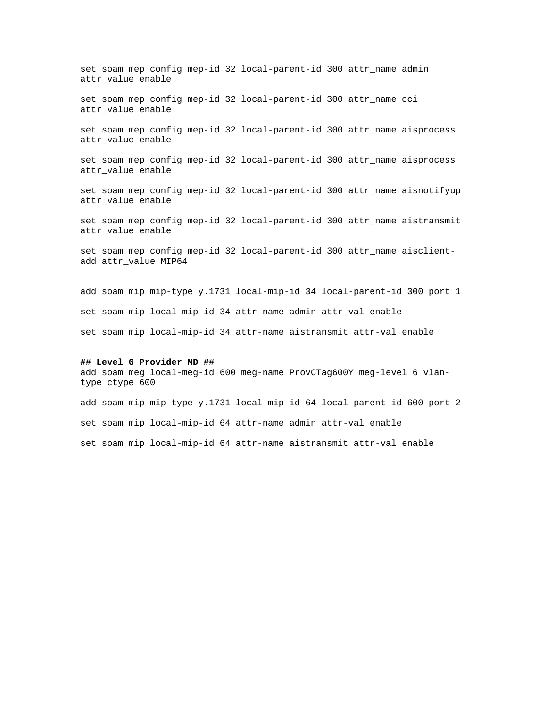set soam mep config mep-id 32 local-parent-id 300 attr\_name admin attr\_value enable

set soam mep config mep-id 32 local-parent-id 300 attr\_name cci attr value enable

set soam mep config mep-id 32 local-parent-id 300 attr\_name aisprocess attr value enable

set soam mep config mep-id 32 local-parent-id 300 attr\_name aisprocess attr value enable

set soam mep config mep-id 32 local-parent-id 300 attr\_name aisnotifyup attr\_value enable

set soam mep config mep-id 32 local-parent-id 300 attr\_name aistransmit attr value enable

set soam mep config mep-id 32 local-parent-id 300 attr\_name aisclientadd attr\_value MIP64

add soam mip mip-type y.1731 local-mip-id 34 local-parent-id 300 port 1 set soam mip local-mip-id 34 attr-name admin attr-val enable set soam mip local-mip-id 34 attr-name aistransmit attr-val enable

#### **## Level 6 Provider MD ##**

add soam meg local-meg-id 600 meg-name ProvCTag600Y meg-level 6 vlantype ctype 600

add soam mip mip-type y.1731 local-mip-id 64 local-parent-id 600 port 2 set soam mip local-mip-id 64 attr-name admin attr-val enable set soam mip local-mip-id 64 attr-name aistransmit attr-val enable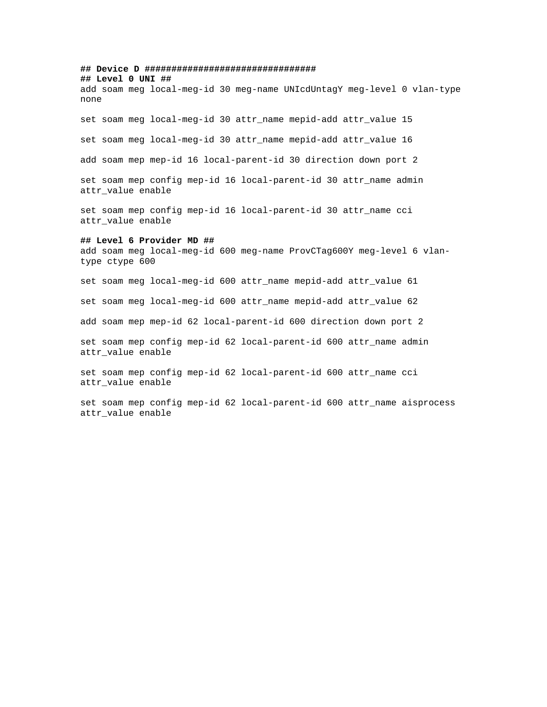**## Device D ################################ ## Level 0 UNI ##** add soam meg local-meg-id 30 meg-name UNIcdUntagY meg-level 0 vlan-type none set soam meg local-meg-id 30 attr\_name mepid-add attr\_value 15 set soam meg local-meg-id 30 attr\_name mepid-add attr\_value 16 add soam mep mep-id 16 local-parent-id 30 direction down port 2 set soam mep config mep-id 16 local-parent-id 30 attr\_name admin attr\_value enable set soam mep config mep-id 16 local-parent-id 30 attr\_name cci attr\_value enable **## Level 6 Provider MD ##** add soam meg local-meg-id 600 meg-name ProvCTag600Y meg-level 6 vlantype ctype 600 set soam meg local-meg-id 600 attr\_name mepid-add attr\_value 61 set soam meg local-meg-id 600 attr\_name mepid-add attr\_value 62 add soam mep mep-id 62 local-parent-id 600 direction down port 2 set soam mep config mep-id 62 local-parent-id 600 attr\_name admin attr\_value enable set soam mep config mep-id 62 local-parent-id 600 attr\_name cci attr\_value enable set soam mep config mep-id 62 local-parent-id 600 attr\_name aisprocess attr\_value enable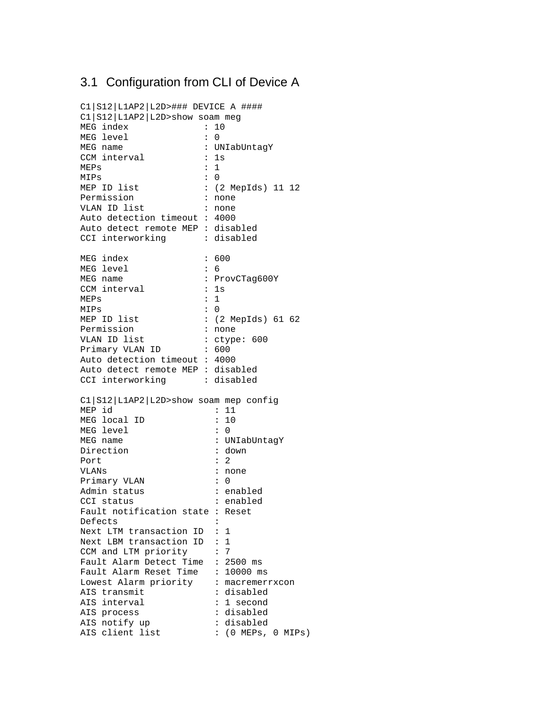## 3.1 Configuration from CLI of Device A

```
C1|S12|L1AP2|L2D>### DEVICE A ####
C1|S12|L1AP2|L2D>show soam meg
MEG index : 10<br>MEG level : 0
MEG level
MEG name : UNIabUntagY
CCM interval : 1s
MEPs : 1<br>MIPs : 0
MIPSMEP ID list : (2 MepIds) 11 12<br>Permission : none
Permission
VLAN ID list : none
Auto detection timeout : 4000
Auto detect remote MEP : disabled
CCI interworking : disabled
MEG index : 600
MEG level : 6
                  : ProvCTag600Y
CCM interval : 1s
MEPs : 1<br>MIPs : 0
MIPs<br>MEP ID list
                  : (2 MepIds) 61 62<br>: none
Permission
VLAN ID list : ctype: 600
Primary VLAN ID : 600
Auto detection timeout : 4000
Auto detect remote MEP : disabled
CCI interworking : disabled
C1|S12|L1AP2|L2D>show soam mep config
MEP id : 11
MEG local ID : 10
MEG level : 0
MEG name : UNIabUntagY
Direction : down
Port : 2
VLANs : none
Primary VLAN : 0
Admin status : enabled
CCI status : enabled
Fault notification state : Reset
Defects :
Next LTM transaction ID : 1
Next LBM transaction ID : 1
CCM and LTM priority : 7
Fault Alarm Detect Time : 2500 ms
Fault Alarm Reset Time : 10000 ms
Lowest Alarm priority : macremerrxcon
AIS transmit : disabled
AIS interval \qquad \qquad : 1 \text{ second}AIS process \qquad \qquad : \text{ disabled}AIS notify up
AIS client list \qquad \qquad : (0 \text{ MEPs}, 0 \text{ MIPs})
```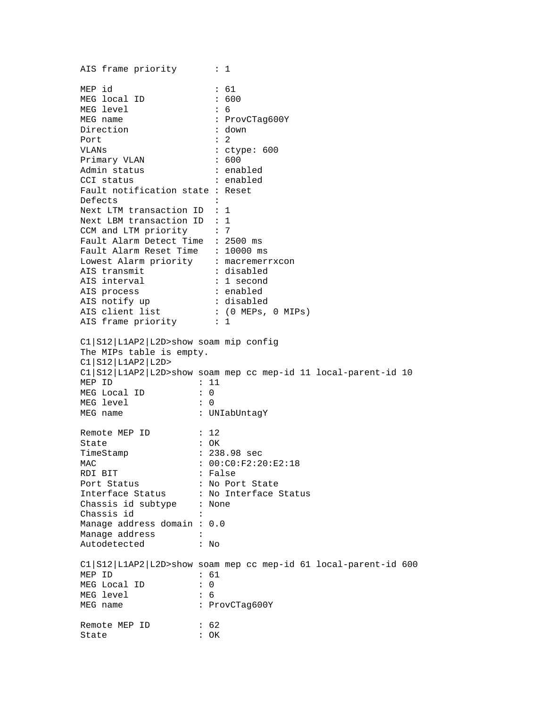AIS frame priority : 1 MEP id : 61 MEG local ID : 600 MEG level : 6 MEG name : ProvCTag600Y Direction : down Port : 2 VLANs : ctype: 600 Primary VLAN : 600 Admin status : enabled CCI status : enabled Fault notification state : Reset Defects : Next LTM transaction ID : 1 Next LBM transaction ID : 1<br>CCM and LTM priority : 7 CCM and LTM priority Fault Alarm Detect Time : 2500 ms Fault Alarm Reset Time : 10000 ms Lowest Alarm priority : macremerrxcon AIS transmit : disabled AIS interval : 1 second AIS process  $\qquad \qquad : \text{ enabled}$ AIS notify up  $\qquad \qquad :$  disabled AIS client list  $\qquad \qquad : (0 \text{ MEPs}, 0 \text{ MIPs})$ AIS frame priority : 1 C1|S12|L1AP2|L2D>show soam mip config The MIPs table is empty. C1|S12|L1AP2|L2D> C1|S12|L1AP2|L2D>show soam mep cc mep-id 11 local-parent-id 10 MEP ID : 11 MEG Local ID : 0 MEG level : 0 MEG name : UNIabUntagY Remote MEP ID : 12 State : OK TimeStamp : 238.98 sec MAC : 00:C0:F2:20:E2:18 RDI BIT : False Port Status : No Port State Interface Status : No Interface Status Chassis id subtype : None Chassis id Manage address domain : 0.0 Manage address : Autodetected : No C1|S12|L1AP2|L2D>show soam mep cc mep-id 61 local-parent-id 600 MEP ID : 61 MEG Local ID : 0 MEG level : 6 MEG name : ProvCTaq600Y Remote MEP ID : 62 State : OK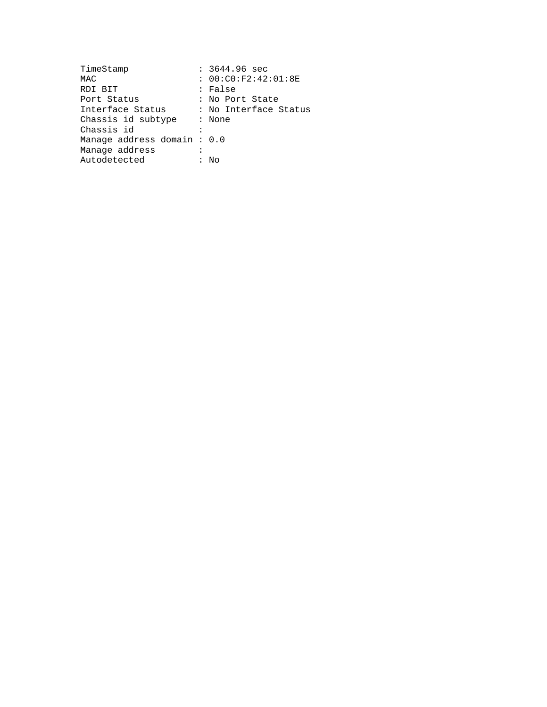| TimeStamp                   | $: 3644.96 \text{ sec}$ |
|-----------------------------|-------------------------|
| MAC                         | : 00:C0:F2:42:01:8E     |
| RDI BIT                     | : False                 |
| Port Status                 | : No Port State         |
| Interface Status            | : No Interface Status   |
| Chassis id subtype          | : None                  |
| Chassis id                  |                         |
| Manaqe address domain : 0.0 |                         |
| Manaqe address              |                         |
| Autodetected                | Nο                      |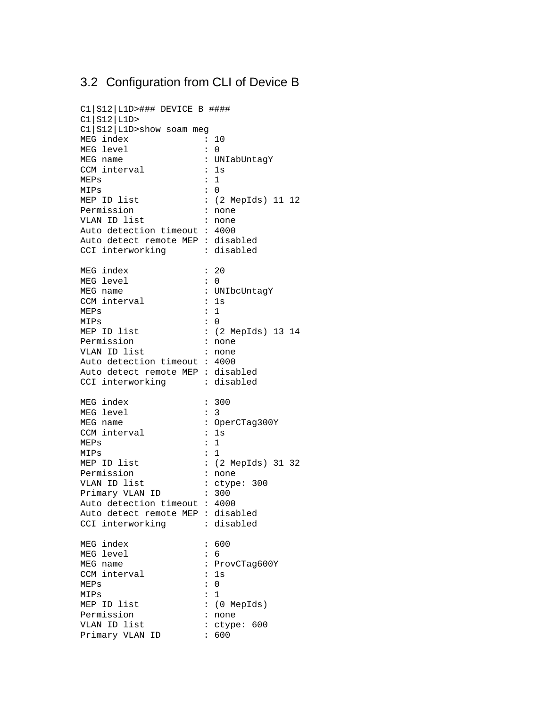# 3.2 Configuration from CLI of Device B

| C1   S12   L1D>### DEVICE B ####  |                                      |
|-----------------------------------|--------------------------------------|
| CI S12 L1D                        |                                      |
| Cl   S12   L1D> show soam meg     |                                      |
| MEG index                         | 10<br>$\mathbf{L}$                   |
| MEG level                         | $\ddot{\phantom{a}}$<br>0            |
| MEG name                          | : UNIabUntagY                        |
| CCM interval                      | 1s<br>$\ddot{\cdot}$                 |
| MEPs                              | $\mathbf{1}$<br>:                    |
| MIPs                              | $\Omega$<br>$\mathbf{I}$             |
| MEP ID list                       | : (2 MepIds) 11 12                   |
| Permission                        | $\ddot{\cdot}$<br>none               |
| VLAN ID list                      | $\ddot{\cdot}$<br>none               |
| Auto detection timeout: 4000      |                                      |
| Auto detect remote MEP : disabled |                                      |
|                                   | : disabled                           |
| CCI interworking                  |                                      |
| MEG index                         | : 20                                 |
| MEG level                         | $\mathbf{I}$<br>0                    |
| MEG name                          | : UNIbcUntagY                        |
| CCM interval                      | $\colon$<br>1s                       |
| MEPs                              | $\mathbf{1}$<br>:                    |
| MIPs                              | $\ddot{\phantom{0}}$<br>$\Omega$     |
| MEP ID list                       | : (2 MepIds) 13 14                   |
| Permission                        | :<br>none                            |
| VLAN ID list                      | $\ddot{\cdot}$<br>none               |
| Auto detection timeout : 4000     |                                      |
| Auto detect remote MEP : disabled |                                      |
| CCI interworking                  | : disabled                           |
|                                   |                                      |
| MEG index                         | 300<br>$\ddot{\cdot}$                |
| MEG level                         | 3<br>:                               |
| MEG name                          | : OperCTag300Y                       |
| CCM interval                      | :<br>1s                              |
| MEPs                              | $\mathbf{1}$<br>$\ddot{\cdot}$       |
| MIPs                              | $\mathbf{1}$<br>$\ddot{\phantom{a}}$ |
| MEP ID list                       | : (2 MepIds) 31 32                   |
| Permission                        | $\ddot{\cdot}$<br>none               |
| VLAN ID list                      | $\ddot{\cdot}$<br>ctype: 300         |
| $\sim 10^{11}$<br>Primary VLAN ID | 300                                  |
| Auto detection timeout: 4000      |                                      |
| Auto detect remote MEP : disabled |                                      |
| CCI interworking                  | : disabled                           |
|                                   |                                      |
| MEG index                         | 600<br>$\ddot{\phantom{0}}$          |
| MEG level                         | 6<br>$\ddot{\phantom{0}}$            |
| MEG name                          | $\ddot{\cdot}$<br>ProvCTag600Y       |
| CCM interval                      | 1s<br>$\colon$                       |
| MEPs                              | $\mathbf 0$<br>$\ddot{\cdot}$        |
| MIPs                              | $\mathbf 1$<br>$\ddot{\phantom{0}}$  |
| MEP ID list                       | : (0 MepIds)                         |
| Permission                        | $\ddot{\phantom{0}}$<br>none         |
| VLAN ID list                      | ctype: 600<br>:                      |
| Primary VLAN ID                   | $\ddot{\cdot}$<br>600                |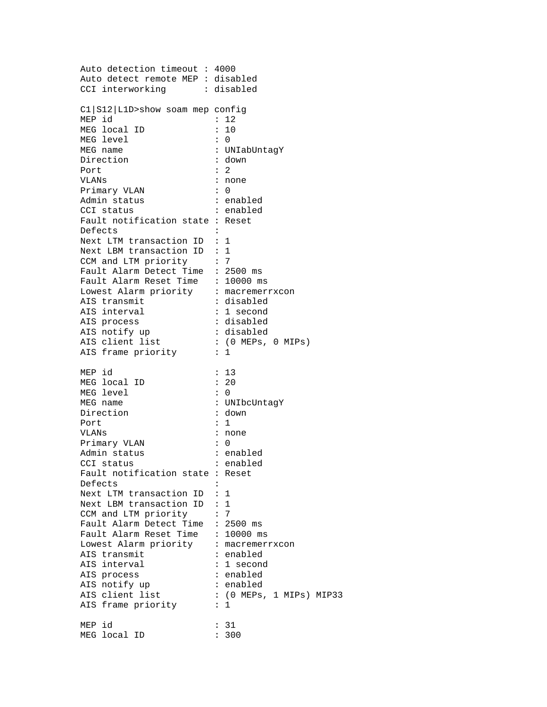Auto detection timeout : 4000 Auto detect remote MEP : disabled CCI interworking : disabled C1|S12|L1D>show soam mep config MEP id : 12 MEG local ID : 10 MEG level : 0 MEG name : UNIabUntagY Direction : down Port : 2 VLANs : none Primary VLAN : 0 Admin status : enabled cci status : enabled Fault notification state : Reset Defects : Next LTM transaction ID : 1 Next LBM transaction ID : 1 CCM and LTM priority : 7 Fault Alarm Detect Time : 2500 ms Fault Alarm Reset Time : 10000 ms Lowest Alarm priority : macremerrxcon AIS transmit : disabled AIS interval  $\qquad \qquad : 1 \text{ second}$ AIS process  $\qquad \qquad : \text{ disabled}$ AIS notify up  $\qquad \qquad :$  disabled AIS client list  $\qquad \qquad : (0 \text{ MEPs}, 0 \text{ MIPS})$ AIS frame priority : 1 MEP id : 13 MEG local ID : 20 MEG level : 0 MEG name : UNIbcUntagY Direction : down<br>Port : 1 Port VLANs : none Primary VLAN : 0 Admin status : enabled CCI status : enabled Fault notification state : Reset Defects : Next LTM transaction ID : 1 Next LBM transaction ID : 1 CCM and LTM priority : 7 Fault Alarm Detect Time : 2500 ms Fault Alarm Reset Time : 10000 ms Lowest Alarm priority : macremerrxcon AIS transmit : enabled AIS interval : 1 second AIS process  $\qquad \qquad : \text{ enabled}$ AIS notify up AIS client list : (0 MEPs, 1 MIPs) MIP33 AIS frame priority : 1 MEP id : 31 MEG local ID : 300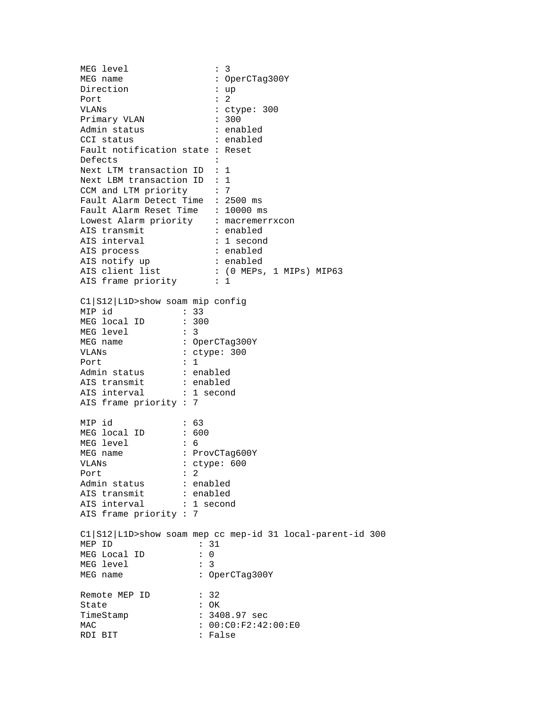MEG level MEG level : 3<br>MEG name : OperCTag300Y Direction : up Port : 2 VLANs : ctype: 300 Primary VLAN : 300 Admin status : enabled CCI status : enabled Fault notification state : Reset Defects : Next LTM transaction ID : 1 Next LBM transaction ID : 1 CCM and LTM priority : 7 Fault Alarm Detect Time : 2500 ms Fault Alarm Reset Time : 10000 ms Lowest Alarm priority : macremerrxcon AIS transmit  $\qquad \qquad : \text{ enabled}$ AIS interval  $\qquad \qquad : 1 \text{ second}$ AIS process  $\qquad \qquad : \text{ enabled}$ AIS notify up : enabled AIS client list : (0 MEPs, 1 MIPs) MIP63 AIS frame priority : 1 C1|S12|L1D>show soam mip config MIP id : 33 MEG local ID : 300 MEG level : 3<br>MEG name : 0p MEG name : OperCTag300Y VLANs : ctype: 300 Port : 1 Admin status : enabled AIS transmit : enabled AIS interval : 1 second AIS frame priority : 7 MIP id : 63<br>MEG local ID : 600 MEG local ID MEG level : 6<br>MEG name : P : ProvCTag600Y VLANs : ctype: 600 Port : 2 Admin status : enabled AIS transmit : enabled Als transmite<br>AIS interval : 1 second AIS frame priority : 7 C1|S12|L1D>show soam mep cc mep-id 31 local-parent-id 300 MEP ID : 31<br>MEG Local ID : 0 MEG Local ID : 0<br>MEG level : 3 MEG level MEG name : OperCTag300Y Remote MEP ID : 32 State : OK TimeStamp : 3408.97 sec MAC : 00:C0:F2:42:00:E0<br>RDI BIT : False RDI BIT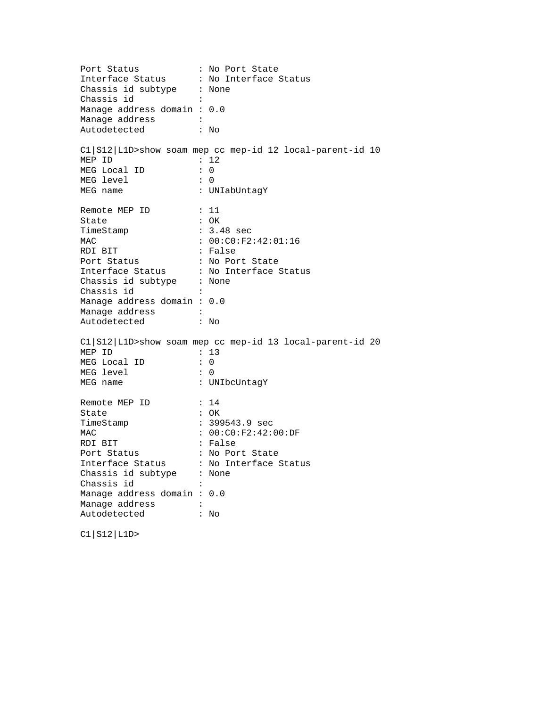Port Status : No Port State Interface Status : No Interface Status Chassis id subtype : None Chassis id : Manage address domain : 0.0 Manage address : Autodetected : No C1|S12|L1D>show soam mep cc mep-id 12 local-parent-id 10 MEP ID : 12 MEG Local ID : 0 MEG level : 0 MEG name : UNIabUntagY Remote MEP ID : 11 State : OK TimeStamp : 3.48 sec  $: 00:C0:F2:42:01:16$ MAC : 00:CO<br>
RDI BIT : False<br>
Port Status : No Po: Port Status : No Port State Interface Status : No Interface Status Chassis id subtype : None Chassis id : Manage address domain : 0.0 Manage address : Autodetected : No C1|S12|L1D>show soam mep cc mep-id 13 local-parent-id 20 MEP ID : 13<br>MEG Local ID : 0 MEG Local ID MEG level : 0 MEG name : UNIbcUntagY Remote MEP ID : 14<br>State : OK State TimeStamp : 399543.9 sec MAC : 00:C0:F2:42:00:DF RDI BIT : False Port Status : No Port State Interface Status : No Interface Status Chassis id subtype : None Chassis id : Manage address domain : 0.0 Manage address :<br>Autodetected : No Autodetected

C1|S12|L1D>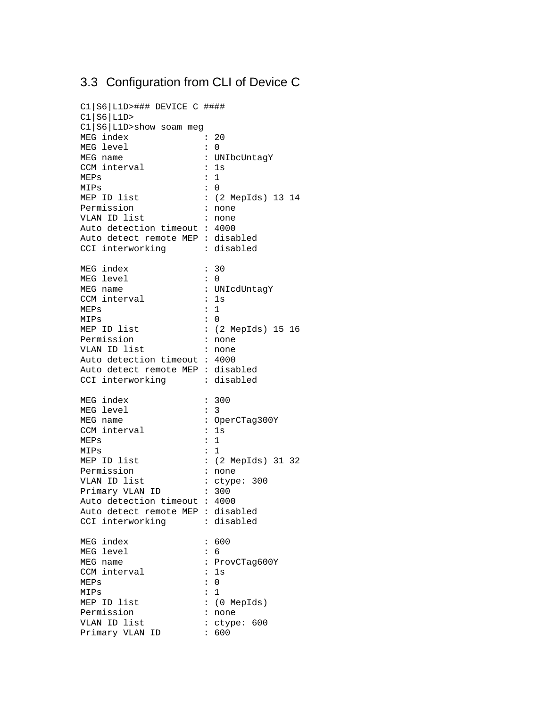# 3.3 Configuration from CLI of Device C

| C1   S6   L1D>### DEVICE C ####<br>CI S6 L1D> |                      |                    |
|-----------------------------------------------|----------------------|--------------------|
| C1   S6   L1D>show soam meg                   |                      |                    |
| MEG index                                     | $\ddot{\cdot}$       | 20                 |
| MEG level                                     | $\ddot{\cdot}$       | $\Omega$           |
| MEG name                                      | $\ddot{\phantom{a}}$ | UNIbcUntagY        |
| CCM interval                                  | $\ddot{\phantom{a}}$ | 1s                 |
| MEPs                                          | :                    | $\mathbf{1}$       |
| MIPs                                          | $\mathbf{L}$         | 0                  |
| MEP ID list                                   |                      |                    |
| Permission                                    |                      | : (2 MepIds) 13 14 |
|                                               | $\ddot{\phantom{a}}$ | none               |
| VLAN ID list                                  | $\ddot{\cdot}$       | none               |
| Auto detection timeout : 4000                 |                      |                    |
| Auto detect remote MEP : disabled             |                      |                    |
| CCI interworking                              |                      | : disabled         |
| MEG index                                     | $\ddot{\phantom{0}}$ | 30                 |
| MEG level                                     | $\ddot{\cdot}$       | 0                  |
| MEG name                                      |                      | : UNIcdUntagY      |
| CCM interval                                  | $\ddot{\cdot}$       | 1s                 |
| MEPs                                          | :                    | $\mathbf{1}$       |
| MIPs                                          | $\ddot{\cdot}$       | $\Omega$           |
| MEP ID list                                   |                      | : (2 MepIds) 15 16 |
| Permission                                    | $\ddot{\cdot}$       | none               |
| VLAN ID list                                  | :                    | none               |
| Auto detection timeout : 4000                 |                      |                    |
| Auto detect remote MEP : disabled             |                      |                    |
| CCI interworking                              |                      | : disabled         |
|                                               |                      |                    |
| MEG index                                     | $\ddot{\phantom{0}}$ | 300                |
| MEG level                                     | $\ddot{\cdot}$       | 3                  |
| MEG name                                      |                      | : OperCTag300Y     |
| CCM interval                                  | $\ddot{\phantom{0}}$ | 1s                 |
| MEPs                                          | $\ddot{\phantom{a}}$ | $\mathbf{1}$       |
| MIPs                                          | $\ddot{\phantom{0}}$ | 1                  |
| MEP ID list                                   |                      | : (2 MepIds) 31 32 |
| Permission                                    | $\ddot{\phantom{a}}$ | none               |
| VLAN ID list                                  | $\ddot{\cdot}$       |                    |
|                                               |                      | ctype: 300         |
| Primary VLAN ID                               | $\pm$ .              | 300                |
| Auto detection timeout : 4000                 |                      |                    |
| Auto detect remote MEP : disabled             |                      |                    |
| CCI interworking                              |                      | : disabled         |
| MEG index                                     | :                    | 600                |
| MEG level                                     | $\ddot{\phantom{a}}$ | 6                  |
| MEG name                                      | $\colon$             | ProvCTag600Y       |
| CCM interval                                  | :                    | 1s                 |
| MEPs                                          | $\ddot{\cdot}$       | $\mathbf 0$        |
| MIPs                                          | $\colon$             | $\mathbf 1$        |
| MEP ID list                                   | $\ddot{\phantom{0}}$ | (0 MepIds)         |
| Permission                                    | ÷                    | none               |
| VLAN ID list                                  | :                    | ctype: 600         |
| Primary VLAN ID                               | $\mathbf{L}$         | 600                |
|                                               |                      |                    |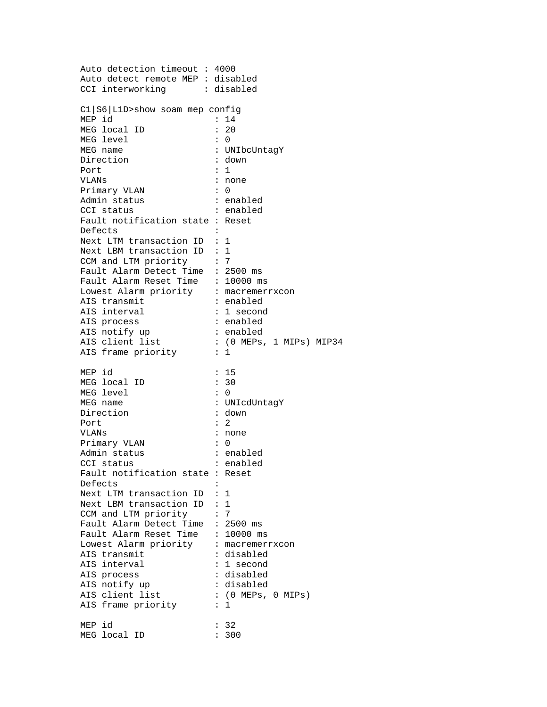Auto detection timeout : 4000 Auto detect remote MEP : disabled CCI interworking : disabled C1|S6|L1D>show soam mep config MEP id : 14 MEG local ID : 20 MEG level : 0 MEG name : UNIbcUntagY Direction : down Port : 1 VLANs : none Primary VLAN : 0 Admin status : enabled cci status : enabled Fault notification state : Reset Defects : Next LTM transaction ID : 1 Next LBM transaction ID : 1 CCM and LTM priority : 7 Fault Alarm Detect Time : 2500 ms Fault Alarm Reset Time : 10000 ms Lowest Alarm priority : macremerrxcon AIS transmit : enabled AIS interval  $\qquad \qquad : 1 \text{ second}$ AIS process  $\qquad \qquad : \text{ enabled}$ AIS notify up  $\qquad \qquad :$  enabled AIS client list : (0 MEPs, 1 MIPs) MIP34 AIS frame priority : 1 MEP id : 15 MEG local ID : 30 MEG level : 0 MEG name : UNIcdUntagY Direction : down<br>Port : 2 Port VLANs : none Primary VLAN : 0 Admin status : enabled CCI status : enabled Fault notification state : Reset Defects : Next LTM transaction ID : 1 Next LBM transaction ID : 1 CCM and LTM priority : 7 Fault Alarm Detect Time : 2500 ms Fault Alarm Reset Time : 10000 ms Lowest Alarm priority : macremerrxcon AIS transmit :  $\frac{1}{2}$  : disabled AIS interval : 1 second AIS process  $\qquad \qquad : \text{ disabled}$ AIS notify up<br>AIS client list<br>AIS for AIS client list  $\qquad \qquad : (0 \text{ MEPs}, 0 \text{ MIPs})$ AIS frame priority : 1 MEP id : 32 MEG local ID : 300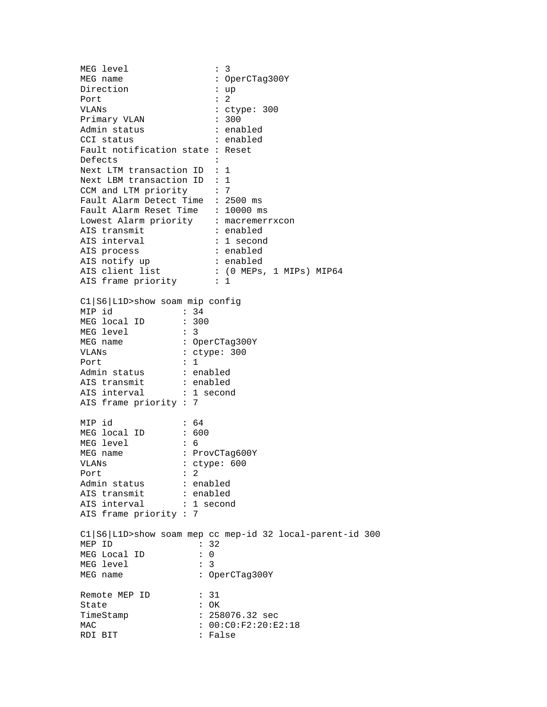MEG level MEG level : 3<br>MEG name : OperCTag300Y Direction : up Port : 2 VLANs : ctype: 300 Primary VLAN : 300 Admin status : enabled CCI status : enabled Fault notification state : Reset Defects : Next LTM transaction ID : 1 Next LBM transaction ID : 1 CCM and LTM priority : 7 Fault Alarm Detect Time : 2500 ms Fault Alarm Reset Time : 10000 ms Lowest Alarm priority : macremerrxcon AIS transmit  $\qquad \qquad : \text{ enabled}$ AIS interval  $\qquad \qquad : 1 \text{ second}$ AIS process  $\qquad \qquad : \text{ enabled}$ AIS notify up : enabled AIS client list : (0 MEPs, 1 MIPs) MIP64 AIS frame priority : 1 C1|S6|L1D>show soam mip config MIP id : 34 MEG local ID : 300 MEG level : 3 MEG name : OperCTag300Y VLANs : ctype: 300 Port : 1 Admin status : enabled AIS transmit : enabled AIS interval : 1 second AIS frame priority : 7 MIP id : 64<br>MEG local ID : 600 MEG local ID MEG level : 6<br>MEG name : P : ProvCTag600Y VLANs : ctype: 600 Port : 2 Admin status : enabled AIS transmit : enabled Als transmite<br>AIS interval : 1 second AIS frame priority : 7 C1|S6|L1D>show soam mep cc mep-id 32 local-parent-id 300 MEP ID : 32<br>MEG Local ID : 0 MEG Local ID : 0<br>MEG level : 3 MEG level MEG name : OperCTag300Y Remote MEP ID : 31 State : OK TimeStamp : 258076.32 sec MAC : 00:C0:F2:20:E2:18<br>RDI BIT : False RDI BIT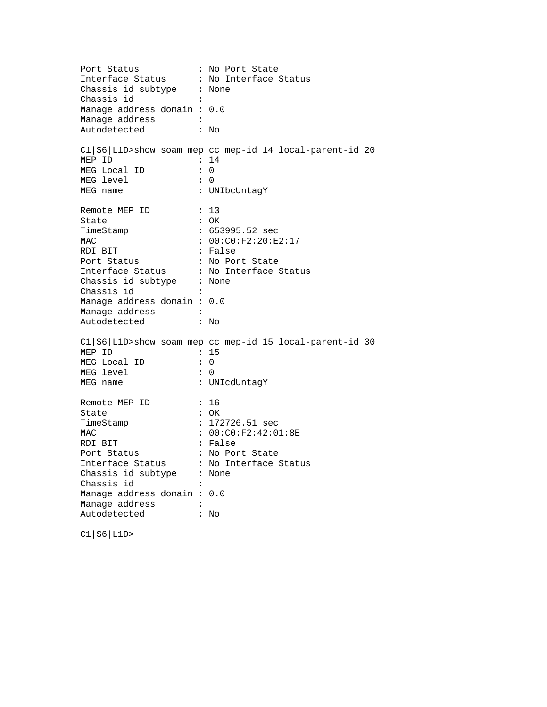Port Status : No Port State Interface Status : No Interface Status Chassis id subtype : None Chassis id : Manage address domain : 0.0 Manage address : Autodetected : No C1|S6|L1D>show soam mep cc mep-id 14 local-parent-id 20 MEP ID : 14 MEG Local ID : 0 MEG level : 0 MEG name : UNIbcUntagY Remote MEP ID : 13 State : OK TimeStamp : 653995.52 sec  $: 00:C0:F2:20:F2:17$ MAC : 00:CO<br>
RDI BIT : False<br>
Port Status : No Po: Port Status : No Port State Interface Status : No Interface Status Chassis id subtype : None Chassis id : Manage address domain : 0.0 Manage address : Autodetected : No C1|S6|L1D>show soam mep cc mep-id 15 local-parent-id 30 MEP ID : 15<br>MEG Local ID : 0 MEG Local ID MEG level : 0 MEG name : UNIcdUntagY Remote MEP ID : 16<br>State : OK State TimeStamp : 172726.51 sec MAC : 00:C0:F2:42:01:8E<br>RDI BIT : False RDI BIT : False Port Status : No Port State Interface Status : No Interface Status Chassis id subtype : None Chassis id : Manage address domain : 0.0 Manage address : Autodetected : No

C1|S6|L1D>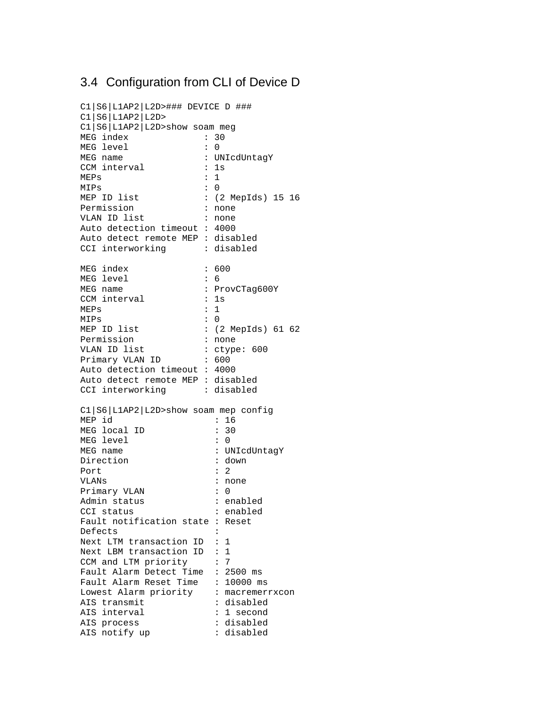### 3.4 Configuration from CLI of Device D

```
C1|S6|L1AP2|L2D>### DEVICE D ###
C1|S6|L1AP2|L2D>
C1|S6|L1AP2|L2D>show soam meg
MEG index : 30
MEG level : 0
MEG name : UNIcdUntagY
CCM interval : 1s
MEPs : 1
MIPs : 0<br>MEP ID list : ()
                   : (2 MepIds) 15 16
Permission : none<br>VLAN ID list : none
VLAN ID list
Auto detection timeout : 4000
Auto detect remote MEP : disabled
CCI interworking : disabled
MEG index : 600<br>MEG level : 6
MEG level<br>MEG name
                   : ProvCTag600Y
CCM interval : 1s
MEPs : 1<br>MIPs : 0
MIPs<br>MEP ID list
                   : (2 MepIds) 61 62<br>: none
Permission
VLAN ID list : ctype: 600<br>Primary VLAN ID : 600
Primary VLAN ID
Auto detection timeout : 4000
Auto detect remote MEP : disabled
CCI interworking : disabled
C1|S6|L1AP2|L2D>show soam mep config
MEP id : 16<br>MEG local ID : 30
MEG local ID
MEG level : 0
MEG name : UNIcdUntagY
Direction : down
Port : 2
VLANs : none
Primary VLAN : 0
Admin status : enabled
CCI status : enabled
Fault notification state : Reset
Defects :
Next LTM transaction ID : 1
Next LBM transaction ID : 1
CCM and LTM priority : 7
Fault Alarm Detect Time : 2500 ms
Fault Alarm Reset Time : 10000 ms
Lowest Alarm priority : macremerrxcon
AIS transmit : disabled
AIS interval \qquad \qquad : 1 \text{ second}AIS process : disabled<br>AIS notify up : disabled
AIS notify up
```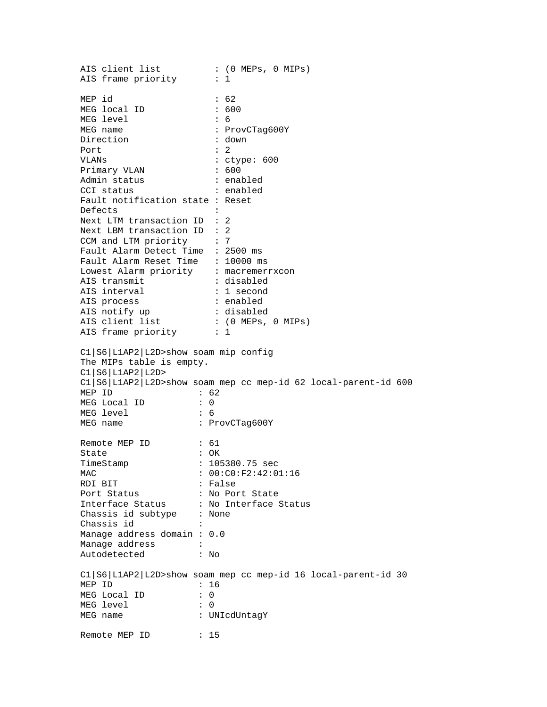AIS client list  $\qquad \qquad : (0 \text{ MEPs}, 0 \text{ MIPs})$ AIS frame priority : 1 MEP id : 62 MEG local ID MEG level : 6 MEG name : ProvCTag600Y Direction : down Port : 2 VLANs : ctype: 600 Primary VLAN : 600 Admin status : enabled CCI status : enabled Fault notification state : Reset Defects : Next LTM transaction ID : 2 Next LBM transaction ID : 2<br>CCM and LTM priority : 7 CCM and LTM priority Fault Alarm Detect Time : 2500 ms Fault Alarm Reset Time : 10000 ms Lowest Alarm priority : macremerrxcon AIS transmit : disabled AIS interval  $\qquad \qquad : 1 \text{ second}$ AIS process  $\qquad \qquad : \text{ enabled}$ AIS notify up : disabled AIS client list  $\qquad \qquad : (0 \text{ MEPs}, 0 \text{ MIPs})$ AIS frame priority : 1 C1|S6|L1AP2|L2D>show soam mip config The MIPs table is empty. C1|S6|L1AP2|L2D> C1|S6|L1AP2|L2D>show soam mep cc mep-id 62 local-parent-id 600 MEP ID : 62 MEG Local ID : 0<br>MEG level : 6 MEG level MEG name : ProvCTag600Y Remote MEP ID : 61 State : OK TimeStamp : 105380.75 sec MAC : 00:C0:F2:42:01:16 RDI BIT : False Port Status : No Port State Interface Status : No Interface Status Chassis id subtype : None Chassis id Manage address domain : 0.0 Manage address :<br>Autodetected : No Autodetected C1|S6|L1AP2|L2D>show soam mep cc mep-id 16 local-parent-id 30 MEP ID : 16 MEG Local ID : 0 MEG level : 0 MEG name : UNIcdUntagY Remote MEP ID : 15